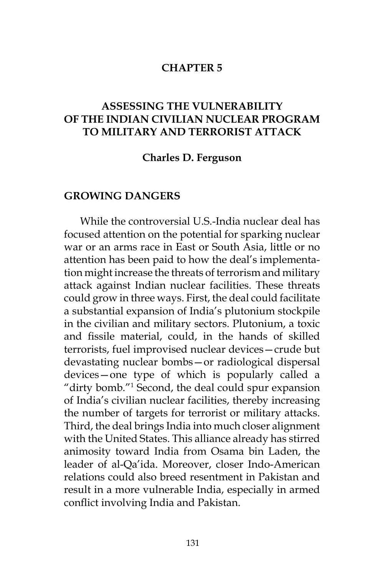#### **CHAPTER 5**

# **ASSESSING THE VULNERABILITY OF THE INDIAN CIVILIAN NUCLEAR PROGRAM TO MILITARY AND TERRORIST ATTACK**

#### **Charles D. Ferguson**

### **GROWING DANGERS**

While the controversial U.S.-India nuclear deal has focused attention on the potential for sparking nuclear war or an arms race in East or South Asia, little or no attention has been paid to how the deal's implementation might increase the threats of terrorism and military attack against Indian nuclear facilities. These threats could grow in three ways. First, the deal could facilitate a substantial expansion of India's plutonium stockpile in the civilian and military sectors. Plutonium, a toxic and fissile material, could, in the hands of skilled terrorists, fuel improvised nuclear devices—crude but devastating nuclear bombs—or radiological dispersal devices—one type of which is popularly called a "dirty bomb."1 Second, the deal could spur expansion of India's civilian nuclear facilities, thereby increasing the number of targets for terrorist or military attacks. Third, the deal brings India into much closer alignment with the United States. This alliance already has stirred animosity toward India from Osama bin Laden, the leader of al-Qa'ida. Moreover, closer Indo-American relations could also breed resentment in Pakistan and result in a more vulnerable India, especially in armed conflict involving India and Pakistan.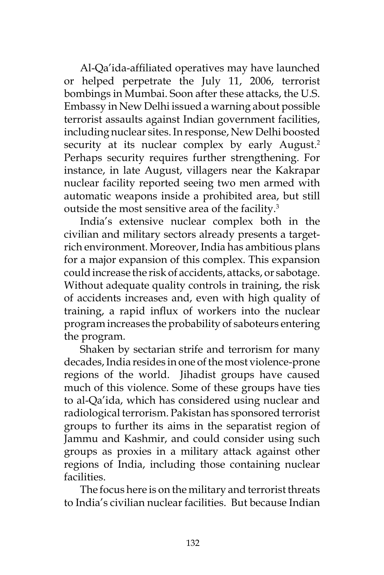Al-Qa'ida-affiliated operatives may have launched or helped perpetrate the July 11, 2006, terrorist bombings in Mumbai. Soon after these attacks, the U.S. Embassy in New Delhi issued a warning about possible terrorist assaults against Indian government facilities, including nuclear sites. In response, New Delhi boosted security at its nuclear complex by early August.<sup>2</sup> Perhaps security requires further strengthening. For instance, in late August, villagers near the Kakrapar nuclear facility reported seeing two men armed with automatic weapons inside a prohibited area, but still outside the most sensitive area of the facility.<sup>3</sup>

India's extensive nuclear complex both in the civilian and military sectors already presents a targetrich environment. Moreover, India has ambitious plans for a major expansion of this complex. This expansion could increase the risk of accidents, attacks, or sabotage. Without adequate quality controls in training, the risk of accidents increases and, even with high quality of training, a rapid influx of workers into the nuclear program increases the probability of saboteurs entering the program.

Shaken by sectarian strife and terrorism for many decades, India resides in one of the most violence-prone regions of the world. Jihadist groups have caused much of this violence. Some of these groups have ties to al-Qa'ida, which has considered using nuclear and radiological terrorism. Pakistan has sponsored terrorist groups to further its aims in the separatist region of Jammu and Kashmir, and could consider using such groups as proxies in a military attack against other regions of India, including those containing nuclear facilities.

The focus here is on the military and terrorist threats to India's civilian nuclear facilities. But because Indian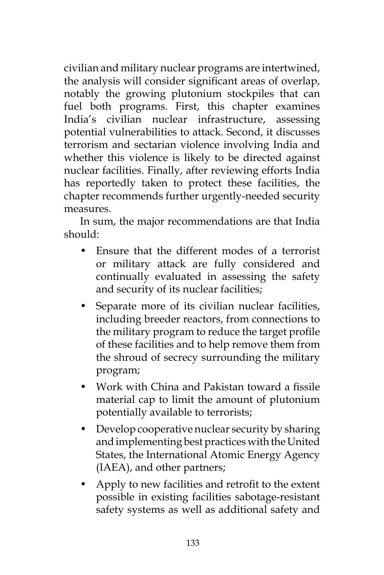civilian and military nuclear programs are intertwined, the analysis will consider significant areas of overlap, notably the growing plutonium stockpiles that can fuel both programs. First, this chapter examines India's civilian nuclear infrastructure, assessing potential vulnerabilities to attack. Second, it discusses terrorism and sectarian violence involving India and whether this violence is likely to be directed against nuclear facilities. Finally, after reviewing efforts India has reportedly taken to protect these facilities, the chapter recommends further urgently-needed security measures.

In sum, the major recommendations are that India should:

- Ensure that the different modes of a terrorist or military attack are fully considered and continually evaluated in assessing the safety and security of its nuclear facilities;
- Separate more of its civilian nuclear facilities, including breeder reactors, from connections to the military program to reduce the target profile of these facilities and to help remove them from the shroud of secrecy surrounding the military program;
- Work with China and Pakistan toward a fissile material cap to limit the amount of plutonium potentially available to terrorists;
- Develop cooperative nuclear security by sharing and implementing best practices with the United States, the International Atomic Energy Agency (IAEA), and other partners;
- Apply to new facilities and retrofit to the extent possible in existing facilities sabotage-resistant safety systems as well as additional safety and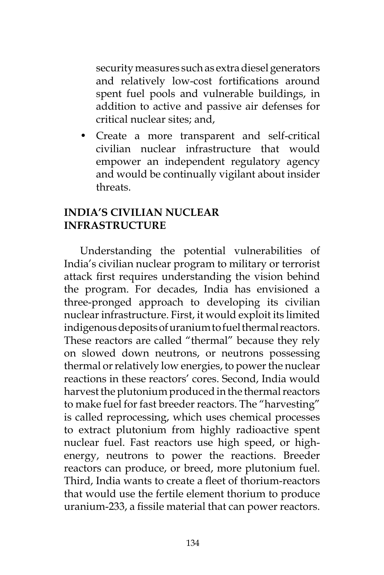security measures such as extra diesel generators and relatively low-cost fortifications around spent fuel pools and vulnerable buildings, in addition to active and passive air defenses for critical nuclear sites; and,

• Create a more transparent and self-critical civilian nuclear infrastructure that would empower an independent regulatory agency and would be continually vigilant about insider threats.

## **INDIA'S CIVILIAN NUCLEAR INFRASTRUCTURE**

Understanding the potential vulnerabilities of India's civilian nuclear program to military or terrorist attack first requires understanding the vision behind the program. For decades, India has envisioned a three-pronged approach to developing its civilian nuclear infrastructure. First, it would exploit its limited indigenous deposits of uranium to fuel thermal reactors. These reactors are called "thermal" because they rely on slowed down neutrons, or neutrons possessing thermal or relatively low energies, to power the nuclear reactions in these reactors' cores. Second, India would harvest the plutonium produced in the thermal reactors to make fuel for fast breeder reactors. The "harvesting" is called reprocessing, which uses chemical processes to extract plutonium from highly radioactive spent nuclear fuel. Fast reactors use high speed, or highenergy, neutrons to power the reactions. Breeder reactors can produce, or breed, more plutonium fuel. Third, India wants to create a fleet of thorium-reactors that would use the fertile element thorium to produce uranium-233, a fissile material that can power reactors.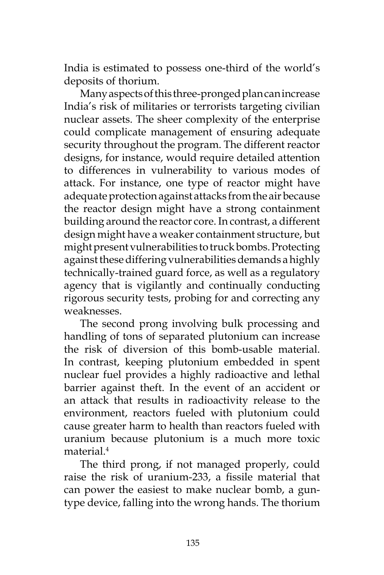India is estimated to possess one-third of the world's deposits of thorium.

Many aspects of this three-pronged plan can increase India's risk of militaries or terrorists targeting civilian nuclear assets. The sheer complexity of the enterprise could complicate management of ensuring adequate security throughout the program. The different reactor designs, for instance, would require detailed attention to differences in vulnerability to various modes of attack. For instance, one type of reactor might have adequate protection against attacks from the air because the reactor design might have a strong containment building around the reactor core. In contrast, a different design might have a weaker containment structure, but might present vulnerabilities to truck bombs. Protecting against these differing vulnerabilities demands a highly technically-trained guard force, as well as a regulatory agency that is vigilantly and continually conducting rigorous security tests, probing for and correcting any weaknesses.

The second prong involving bulk processing and handling of tons of separated plutonium can increase the risk of diversion of this bomb-usable material. In contrast, keeping plutonium embedded in spent nuclear fuel provides a highly radioactive and lethal barrier against theft. In the event of an accident or an attack that results in radioactivity release to the environment, reactors fueled with plutonium could cause greater harm to health than reactors fueled with uranium because plutonium is a much more toxic material.4

The third prong, if not managed properly, could raise the risk of uranium-233, a fissile material that can power the easiest to make nuclear bomb, a guntype device, falling into the wrong hands. The thorium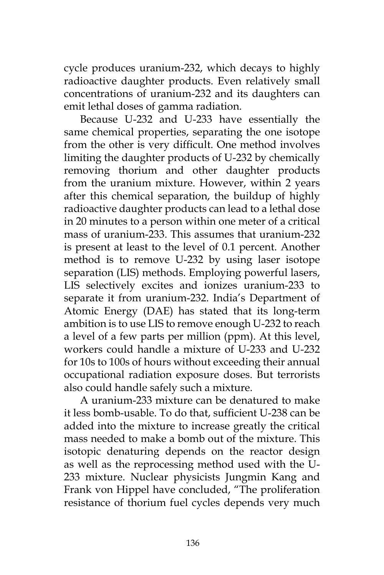cycle produces uranium-232, which decays to highly radioactive daughter products. Even relatively small concentrations of uranium-232 and its daughters can emit lethal doses of gamma radiation.

Because U-232 and U-233 have essentially the same chemical properties, separating the one isotope from the other is very difficult. One method involves limiting the daughter products of U-232 by chemically removing thorium and other daughter products from the uranium mixture. However, within 2 years after this chemical separation, the buildup of highly radioactive daughter products can lead to a lethal dose in 20 minutes to a person within one meter of a critical mass of uranium-233. This assumes that uranium-232 is present at least to the level of 0.1 percent. Another method is to remove U-232 by using laser isotope separation (LIS) methods. Employing powerful lasers, LIS selectively excites and ionizes uranium-233 to separate it from uranium-232. India's Department of Atomic Energy (DAE) has stated that its long-term ambition is to use LIS to remove enough U-232 to reach a level of a few parts per million (ppm). At this level, workers could handle a mixture of U-233 and U-232 for 10s to 100s of hours without exceeding their annual occupational radiation exposure doses. But terrorists also could handle safely such a mixture.

A uranium-233 mixture can be denatured to make it less bomb-usable. To do that, sufficient U-238 can be added into the mixture to increase greatly the critical mass needed to make a bomb out of the mixture. This isotopic denaturing depends on the reactor design as well as the reprocessing method used with the U-233 mixture. Nuclear physicists Jungmin Kang and Frank von Hippel have concluded, "The proliferation resistance of thorium fuel cycles depends very much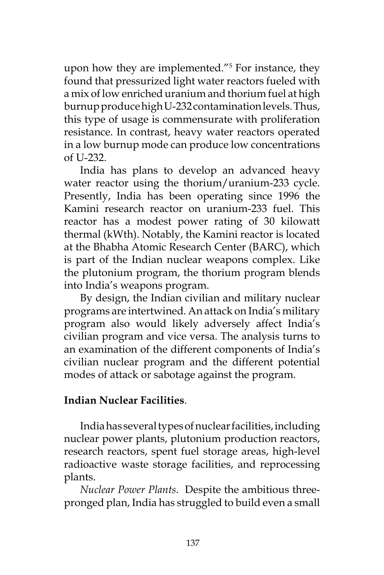upon how they are implemented."5 For instance, they found that pressurized light water reactors fueled with a mix of low enriched uranium and thorium fuel at high burnup produce high U-232 contamination levels. Thus, this type of usage is commensurate with proliferation resistance. In contrast, heavy water reactors operated in a low burnup mode can produce low concentrations of U-232.

India has plans to develop an advanced heavy water reactor using the thorium/uranium-233 cycle. Presently, India has been operating since 1996 the Kamini research reactor on uranium-233 fuel. This reactor has a modest power rating of 30 kilowatt thermal (kWth). Notably, the Kamini reactor is located at the Bhabha Atomic Research Center (BARC), which is part of the Indian nuclear weapons complex. Like the plutonium program, the thorium program blends into India's weapons program.

By design, the Indian civilian and military nuclear programs are intertwined. An attack on India's military program also would likely adversely affect India's civilian program and vice versa. The analysis turns to an examination of the different components of India's civilian nuclear program and the different potential modes of attack or sabotage against the program.

## **Indian Nuclear Facilities**.

India has several types of nuclear facilities, including nuclear power plants, plutonium production reactors, research reactors, spent fuel storage areas, high-level radioactive waste storage facilities, and reprocessing plants.

*Nuclear Power Plants*. Despite the ambitious threepronged plan, India has struggled to build even a small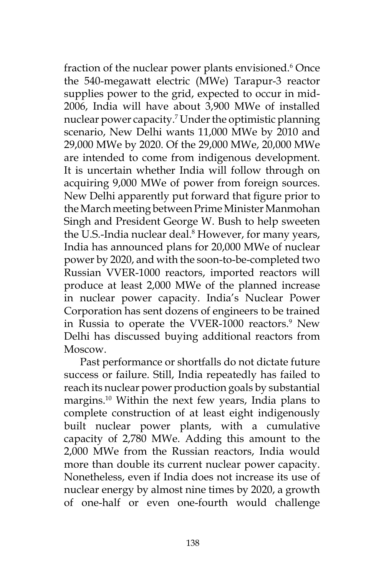fraction of the nuclear power plants envisioned.<sup>6</sup> Once the 540-megawatt electric (MWe) Tarapur-3 reactor supplies power to the grid, expected to occur in mid-2006, India will have about 3,900 MWe of installed nuclear power capacity.<sup>7</sup> Under the optimistic planning scenario, New Delhi wants 11,000 MWe by 2010 and 29,000 MWe by 2020. Of the 29,000 MWe, 20,000 MWe are intended to come from indigenous development. It is uncertain whether India will follow through on acquiring 9,000 MWe of power from foreign sources. New Delhi apparently put forward that figure prior to the March meeting between Prime Minister Manmohan Singh and President George W. Bush to help sweeten the U.S.-India nuclear deal.<sup>8</sup> However, for many years, India has announced plans for 20,000 MWe of nuclear power by 2020, and with the soon-to-be-completed two Russian VVER-1000 reactors, imported reactors will produce at least 2,000 MWe of the planned increase in nuclear power capacity. India's Nuclear Power Corporation has sent dozens of engineers to be trained in Russia to operate the VVER-1000 reactors.<sup>9</sup> New Delhi has discussed buying additional reactors from Moscow.

Past performance or shortfalls do not dictate future success or failure. Still, India repeatedly has failed to reach its nuclear power production goals by substantial margins.10 Within the next few years, India plans to complete construction of at least eight indigenously built nuclear power plants, with a cumulative capacity of 2,780 MWe. Adding this amount to the 2,000 MWe from the Russian reactors, India would more than double its current nuclear power capacity. Nonetheless, even if India does not increase its use of nuclear energy by almost nine times by 2020, a growth of one-half or even one-fourth would challenge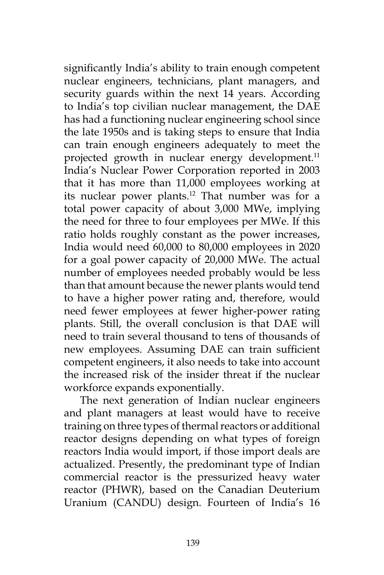significantly India's ability to train enough competent nuclear engineers, technicians, plant managers, and security guards within the next 14 years. According to India's top civilian nuclear management, the DAE has had a functioning nuclear engineering school since the late 1950s and is taking steps to ensure that India can train enough engineers adequately to meet the projected growth in nuclear energy development.<sup>11</sup> India's Nuclear Power Corporation reported in 2003 that it has more than 11,000 employees working at its nuclear power plants.<sup>12</sup> That number was for a total power capacity of about 3,000 MWe, implying the need for three to four employees per MWe. If this ratio holds roughly constant as the power increases, India would need 60,000 to 80,000 employees in 2020 for a goal power capacity of 20,000 MWe. The actual number of employees needed probably would be less than that amount because the newer plants would tend to have a higher power rating and, therefore, would need fewer employees at fewer higher-power rating plants. Still, the overall conclusion is that DAE will need to train several thousand to tens of thousands of new employees. Assuming DAE can train sufficient competent engineers, it also needs to take into account the increased risk of the insider threat if the nuclear workforce expands exponentially.

The next generation of Indian nuclear engineers and plant managers at least would have to receive training on three types of thermal reactors or additional reactor designs depending on what types of foreign reactors India would import, if those import deals are actualized. Presently, the predominant type of Indian commercial reactor is the pressurized heavy water reactor (PHWR), based on the Canadian Deuterium Uranium (CANDU) design. Fourteen of India's 16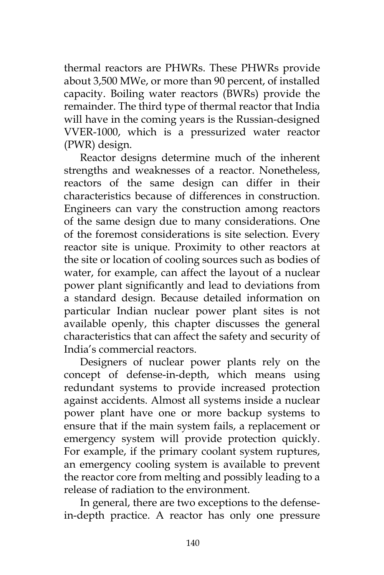thermal reactors are PHWRs. These PHWRs provide about 3,500 MWe, or more than 90 percent, of installed capacity. Boiling water reactors (BWRs) provide the remainder. The third type of thermal reactor that India will have in the coming years is the Russian-designed VVER-1000, which is a pressurized water reactor (PWR) design.

Reactor designs determine much of the inherent strengths and weaknesses of a reactor. Nonetheless, reactors of the same design can differ in their characteristics because of differences in construction. Engineers can vary the construction among reactors of the same design due to many considerations. One of the foremost considerations is site selection. Every reactor site is unique. Proximity to other reactors at the site or location of cooling sources such as bodies of water, for example, can affect the layout of a nuclear power plant significantly and lead to deviations from a standard design. Because detailed information on particular Indian nuclear power plant sites is not available openly, this chapter discusses the general characteristics that can affect the safety and security of India's commercial reactors.

Designers of nuclear power plants rely on the concept of defense-in-depth, which means using redundant systems to provide increased protection against accidents. Almost all systems inside a nuclear power plant have one or more backup systems to ensure that if the main system fails, a replacement or emergency system will provide protection quickly. For example, if the primary coolant system ruptures, an emergency cooling system is available to prevent the reactor core from melting and possibly leading to a release of radiation to the environment.

In general, there are two exceptions to the defensein-depth practice. A reactor has only one pressure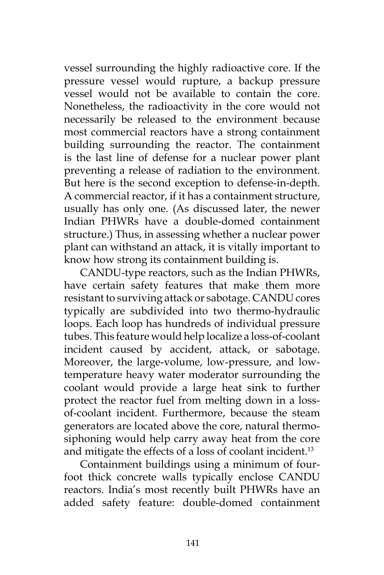vessel surrounding the highly radioactive core. If the pressure vessel would rupture, a backup pressure vessel would not be available to contain the core. Nonetheless, the radioactivity in the core would not necessarily be released to the environment because most commercial reactors have a strong containment building surrounding the reactor. The containment is the last line of defense for a nuclear power plant preventing a release of radiation to the environment. But here is the second exception to defense-in-depth. A commercial reactor, if it has a containment structure, usually has only one. (As discussed later, the newer Indian PHWRs have a double-domed containment structure.) Thus, in assessing whether a nuclear power plant can withstand an attack, it is vitally important to know how strong its containment building is.

CANDU-type reactors, such as the Indian PHWRs, have certain safety features that make them more resistant to surviving attack or sabotage. CANDU cores typically are subdivided into two thermo-hydraulic loops. Each loop has hundreds of individual pressure tubes. This feature would help localize a loss-of-coolant incident caused by accident, attack, or sabotage. Moreover, the large-volume, low-pressure, and lowtemperature heavy water moderator surrounding the coolant would provide a large heat sink to further protect the reactor fuel from melting down in a lossof-coolant incident. Furthermore, because the steam generators are located above the core, natural thermosiphoning would help carry away heat from the core and mitigate the effects of a loss of coolant incident.<sup>13</sup>

Containment buildings using a minimum of fourfoot thick concrete walls typically enclose CANDU reactors. India's most recently built PHWRs have an added safety feature: double-domed containment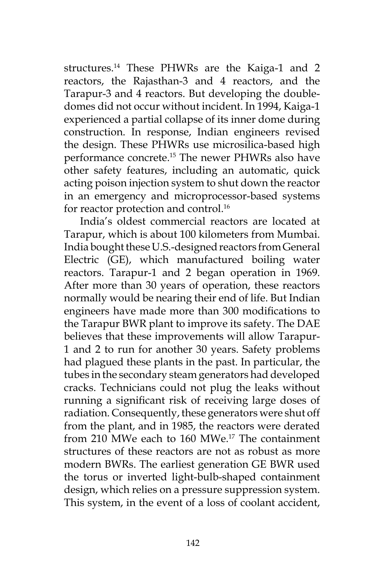structures.14 These PHWRs are the Kaiga-1 and 2 reactors, the Rajasthan-3 and 4 reactors, and the Tarapur-3 and 4 reactors. But developing the doubledomes did not occur without incident. In 1994, Kaiga-1 experienced a partial collapse of its inner dome during construction. In response, Indian engineers revised the design. These PHWRs use microsilica-based high performance concrete.<sup>15</sup> The newer PHWRs also have other safety features, including an automatic, quick acting poison injection system to shut down the reactor in an emergency and microprocessor-based systems for reactor protection and control.<sup>16</sup>

India's oldest commercial reactors are located at Tarapur, which is about 100 kilometers from Mumbai. India bought these U.S.-designed reactors from General Electric (GE), which manufactured boiling water reactors. Tarapur-1 and 2 began operation in 1969. After more than 30 years of operation, these reactors normally would be nearing their end of life. But Indian engineers have made more than 300 modifications to the Tarapur BWR plant to improve its safety. The DAE believes that these improvements will allow Tarapur-1 and 2 to run for another 30 years. Safety problems had plagued these plants in the past. In particular, the tubes in the secondary steam generators had developed cracks. Technicians could not plug the leaks without running a significant risk of receiving large doses of radiation. Consequently, these generators were shut off from the plant, and in 1985, the reactors were derated from 210 MWe each to 160 MWe.<sup>17</sup> The containment structures of these reactors are not as robust as more modern BWRs. The earliest generation GE BWR used the torus or inverted light-bulb-shaped containment design, which relies on a pressure suppression system. This system, in the event of a loss of coolant accident,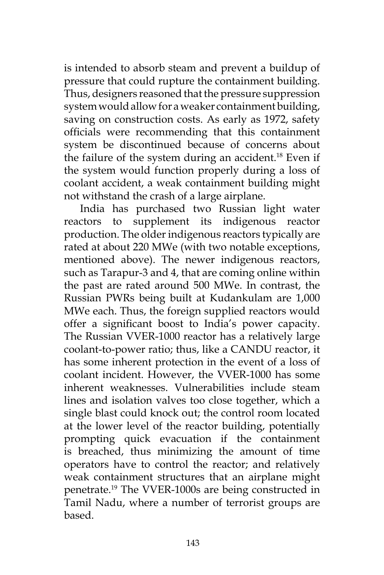is intended to absorb steam and prevent a buildup of pressure that could rupture the containment building. Thus, designers reasoned that the pressure suppression system would allow for a weaker containment building, saving on construction costs. As early as 1972, safety officials were recommending that this containment system be discontinued because of concerns about the failure of the system during an accident.<sup>18</sup> Even if the system would function properly during a loss of coolant accident, a weak containment building might not withstand the crash of a large airplane.

India has purchased two Russian light water reactors to supplement its indigenous reactor production. The older indigenous reactors typically are rated at about 220 MWe (with two notable exceptions, mentioned above). The newer indigenous reactors, such as Tarapur-3 and 4, that are coming online within the past are rated around 500 MWe. In contrast, the Russian PWRs being built at Kudankulam are 1,000 MWe each. Thus, the foreign supplied reactors would offer a significant boost to India's power capacity. The Russian VVER-1000 reactor has a relatively large coolant-to-power ratio; thus, like a CANDU reactor, it has some inherent protection in the event of a loss of coolant incident. However, the VVER-1000 has some inherent weaknesses. Vulnerabilities include steam lines and isolation valves too close together, which a single blast could knock out; the control room located at the lower level of the reactor building, potentially prompting quick evacuation if the containment is breached, thus minimizing the amount of time operators have to control the reactor; and relatively weak containment structures that an airplane might penetrate.19 The VVER-1000s are being constructed in Tamil Nadu, where a number of terrorist groups are based.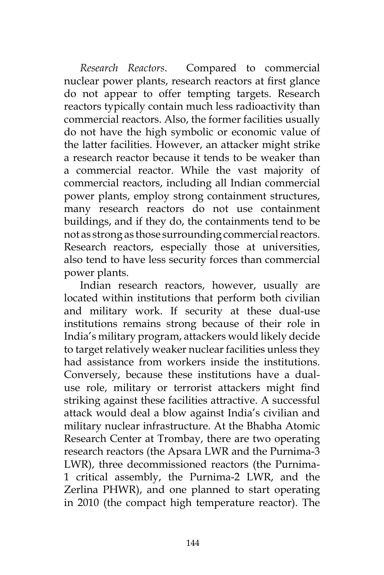*Research Reactors*. Compared to commercial nuclear power plants, research reactors at first glance do not appear to offer tempting targets. Research reactors typically contain much less radioactivity than commercial reactors. Also, the former facilities usually do not have the high symbolic or economic value of the latter facilities. However, an attacker might strike a research reactor because it tends to be weaker than a commercial reactor. While the vast majority of commercial reactors, including all Indian commercial power plants, employ strong containment structures, many research reactors do not use containment buildings, and if they do, the containments tend to be not as strong as those surrounding commercial reactors. Research reactors, especially those at universities, also tend to have less security forces than commercial power plants.

Indian research reactors, however, usually are located within institutions that perform both civilian and military work. If security at these dual-use institutions remains strong because of their role in India's military program, attackers would likely decide to target relatively weaker nuclear facilities unless they had assistance from workers inside the institutions. Conversely, because these institutions have a dualuse role, military or terrorist attackers might find striking against these facilities attractive. A successful attack would deal a blow against India's civilian and military nuclear infrastructure. At the Bhabha Atomic Research Center at Trombay, there are two operating research reactors (the Apsara LWR and the Purnima-3 LWR), three decommissioned reactors (the Purnima-1 critical assembly, the Purnima-2 LWR, and the Zerlina PHWR), and one planned to start operating in 2010 (the compact high temperature reactor). The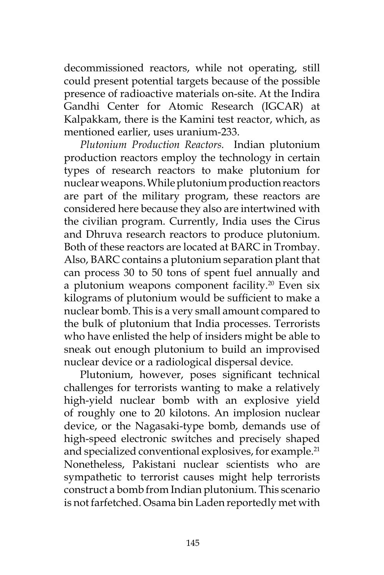decommissioned reactors, while not operating, still could present potential targets because of the possible presence of radioactive materials on-site. At the Indira Gandhi Center for Atomic Research (IGCAR) at Kalpakkam, there is the Kamini test reactor, which, as mentioned earlier, uses uranium-233.

*Plutonium Production Reactors.* Indian plutonium production reactors employ the technology in certain types of research reactors to make plutonium for nuclear weapons. While plutonium production reactors are part of the military program, these reactors are considered here because they also are intertwined with the civilian program. Currently, India uses the Cirus and Dhruva research reactors to produce plutonium. Both of these reactors are located at BARC in Trombay. Also, BARC contains a plutonium separation plant that can process 30 to 50 tons of spent fuel annually and a plutonium weapons component facility.<sup>20</sup> Even six kilograms of plutonium would be sufficient to make a nuclear bomb. This is a very small amount compared to the bulk of plutonium that India processes. Terrorists who have enlisted the help of insiders might be able to sneak out enough plutonium to build an improvised nuclear device or a radiological dispersal device.

Plutonium, however, poses significant technical challenges for terrorists wanting to make a relatively high-yield nuclear bomb with an explosive yield of roughly one to 20 kilotons. An implosion nuclear device, or the Nagasaki-type bomb, demands use of high-speed electronic switches and precisely shaped and specialized conventional explosives, for example.<sup>21</sup> Nonetheless, Pakistani nuclear scientists who are sympathetic to terrorist causes might help terrorists construct a bomb from Indian plutonium. This scenario is not farfetched. Osama bin Laden reportedly met with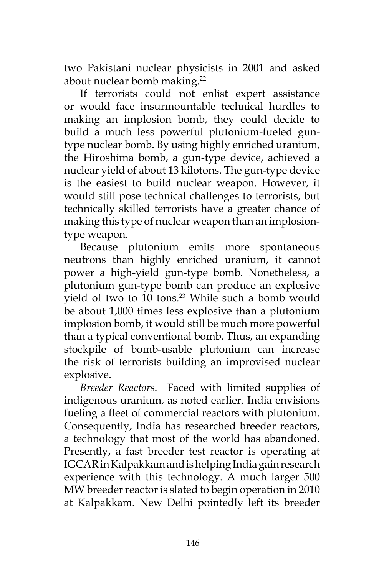two Pakistani nuclear physicists in 2001 and asked about nuclear bomb making.22

If terrorists could not enlist expert assistance or would face insurmountable technical hurdles to making an implosion bomb, they could decide to build a much less powerful plutonium-fueled guntype nuclear bomb. By using highly enriched uranium, the Hiroshima bomb, a gun-type device, achieved a nuclear yield of about 13 kilotons. The gun-type device is the easiest to build nuclear weapon. However, it would still pose technical challenges to terrorists, but technically skilled terrorists have a greater chance of making this type of nuclear weapon than an implosiontype weapon.

Because plutonium emits more spontaneous neutrons than highly enriched uranium, it cannot power a high-yield gun-type bomb. Nonetheless, a plutonium gun-type bomb can produce an explosive yield of two to 10 tons.<sup>23</sup> While such a bomb would be about 1,000 times less explosive than a plutonium implosion bomb, it would still be much more powerful than a typical conventional bomb. Thus, an expanding stockpile of bomb-usable plutonium can increase the risk of terrorists building an improvised nuclear explosive.

*Breeder Reactors*. Faced with limited supplies of indigenous uranium, as noted earlier, India envisions fueling a fleet of commercial reactors with plutonium. Consequently, India has researched breeder reactors, a technology that most of the world has abandoned. Presently, a fast breeder test reactor is operating at IGCAR in Kalpakkam and is helping India gain research experience with this technology. A much larger 500 MW breeder reactor is slated to begin operation in 2010 at Kalpakkam. New Delhi pointedly left its breeder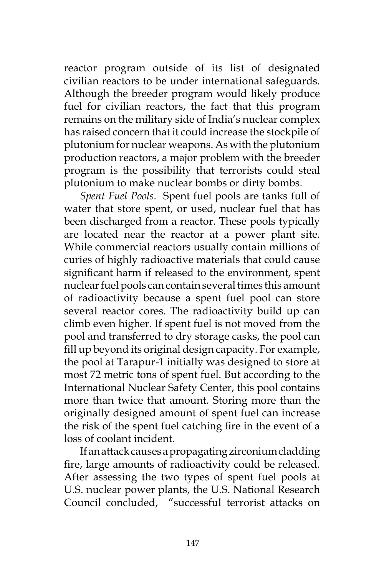reactor program outside of its list of designated civilian reactors to be under international safeguards. Although the breeder program would likely produce fuel for civilian reactors, the fact that this program remains on the military side of India's nuclear complex has raised concern that it could increase the stockpile of plutonium for nuclear weapons. As with the plutonium production reactors, a major problem with the breeder program is the possibility that terrorists could steal plutonium to make nuclear bombs or dirty bombs.

*Spent Fuel Pools*. Spent fuel pools are tanks full of water that store spent, or used, nuclear fuel that has been discharged from a reactor. These pools typically are located near the reactor at a power plant site. While commercial reactors usually contain millions of curies of highly radioactive materials that could cause significant harm if released to the environment, spent nuclear fuel pools can contain several times this amount of radioactivity because a spent fuel pool can store several reactor cores. The radioactivity build up can climb even higher. If spent fuel is not moved from the pool and transferred to dry storage casks, the pool can fill up beyond its original design capacity. For example, the pool at Tarapur-1 initially was designed to store at most 72 metric tons of spent fuel. But according to the International Nuclear Safety Center, this pool contains more than twice that amount. Storing more than the originally designed amount of spent fuel can increase the risk of the spent fuel catching fire in the event of a loss of coolant incident.

If an attack causes a propagating zirconium cladding fire, large amounts of radioactivity could be released. After assessing the two types of spent fuel pools at U.S. nuclear power plants, the U.S. National Research Council concluded, "successful terrorist attacks on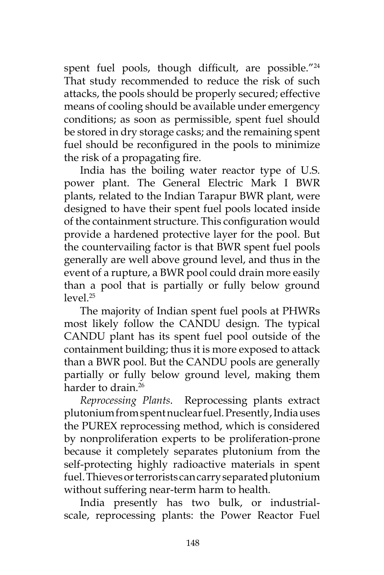spent fuel pools, though difficult, are possible."<sup>24</sup> That study recommended to reduce the risk of such attacks, the pools should be properly secured; effective means of cooling should be available under emergency conditions; as soon as permissible, spent fuel should be stored in dry storage casks; and the remaining spent fuel should be reconfigured in the pools to minimize the risk of a propagating fire.

India has the boiling water reactor type of U.S. power plant. The General Electric Mark I BWR plants, related to the Indian Tarapur BWR plant, were designed to have their spent fuel pools located inside of the containment structure. This configuration would provide a hardened protective layer for the pool. But the countervailing factor is that BWR spent fuel pools generally are well above ground level, and thus in the event of a rupture, a BWR pool could drain more easily than a pool that is partially or fully below ground level.25

The majority of Indian spent fuel pools at PHWRs most likely follow the CANDU design. The typical CANDU plant has its spent fuel pool outside of the containment building; thus it is more exposed to attack than a BWR pool. But the CANDU pools are generally partially or fully below ground level, making them harder to drain.<sup>26</sup>

*Reprocessing Plants*. Reprocessing plants extract plutonium from spent nuclear fuel. Presently, India uses the PUREX reprocessing method, which is considered by nonproliferation experts to be proliferation-prone because it completely separates plutonium from the self-protecting highly radioactive materials in spent fuel. Thieves or terrorists can carry separated plutonium without suffering near-term harm to health.

India presently has two bulk, or industrialscale, reprocessing plants: the Power Reactor Fuel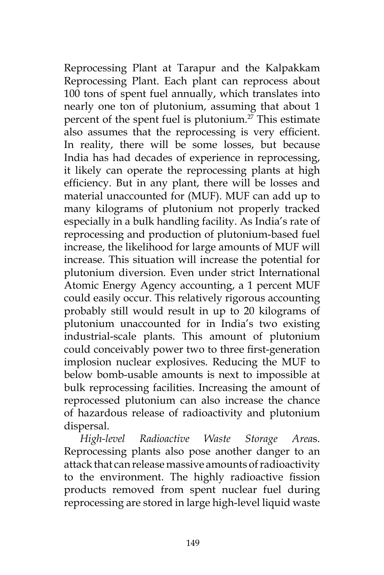Reprocessing Plant at Tarapur and the Kalpakkam Reprocessing Plant. Each plant can reprocess about 100 tons of spent fuel annually, which translates into nearly one ton of plutonium, assuming that about 1 percent of the spent fuel is plutonium.<sup>27</sup> This estimate also assumes that the reprocessing is very efficient. In reality, there will be some losses, but because India has had decades of experience in reprocessing, it likely can operate the reprocessing plants at high efficiency. But in any plant, there will be losses and material unaccounted for (MUF). MUF can add up to many kilograms of plutonium not properly tracked especially in a bulk handling facility. As India's rate of reprocessing and production of plutonium-based fuel increase, the likelihood for large amounts of MUF will increase. This situation will increase the potential for plutonium diversion. Even under strict International Atomic Energy Agency accounting, a 1 percent MUF could easily occur. This relatively rigorous accounting probably still would result in up to 20 kilograms of plutonium unaccounted for in India's two existing industrial-scale plants. This amount of plutonium could conceivably power two to three first-generation implosion nuclear explosives. Reducing the MUF to below bomb-usable amounts is next to impossible at bulk reprocessing facilities. Increasing the amount of reprocessed plutonium can also increase the chance of hazardous release of radioactivity and plutonium dispersal.

*High-level Radioactive Waste Storage Area*s. Reprocessing plants also pose another danger to an attack that can release massive amounts of radioactivity to the environment. The highly radioactive fission products removed from spent nuclear fuel during reprocessing are stored in large high-level liquid waste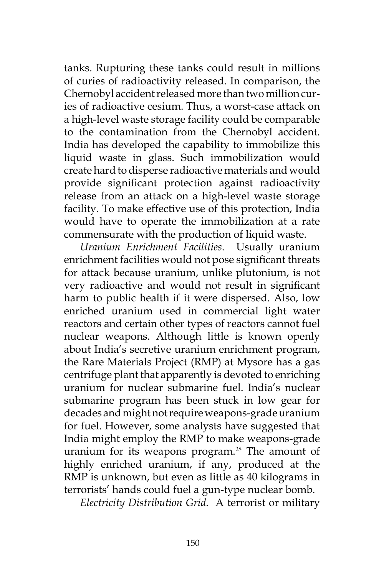tanks. Rupturing these tanks could result in millions of curies of radioactivity released. In comparison, the Chernobyl accident released more than two million curies of radioactive cesium. Thus, a worst-case attack on a high-level waste storage facility could be comparable to the contamination from the Chernobyl accident. India has developed the capability to immobilize this liquid waste in glass. Such immobilization would create hard to disperse radioactive materials and would provide significant protection against radioactivity release from an attack on a high-level waste storage facility. To make effective use of this protection, India would have to operate the immobilization at a rate commensurate with the production of liquid waste.

*Uranium Enrichment Facilities*. Usually uranium enrichment facilities would not pose significant threats for attack because uranium, unlike plutonium, is not very radioactive and would not result in significant harm to public health if it were dispersed. Also, low enriched uranium used in commercial light water reactors and certain other types of reactors cannot fuel nuclear weapons. Although little is known openly about India's secretive uranium enrichment program, the Rare Materials Project (RMP) at Mysore has a gas centrifuge plant that apparently is devoted to enriching uranium for nuclear submarine fuel. India's nuclear submarine program has been stuck in low gear for decades and might not require weapons-grade uranium for fuel. However, some analysts have suggested that India might employ the RMP to make weapons-grade uranium for its weapons program.28 The amount of highly enriched uranium, if any, produced at the RMP is unknown, but even as little as 40 kilograms in terrorists' hands could fuel a gun-type nuclear bomb.

*Electricity Distribution Grid*. A terrorist or military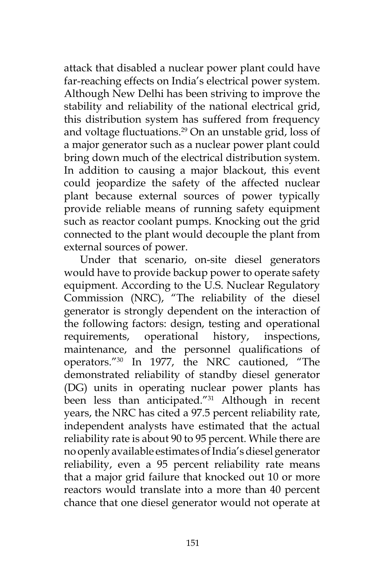attack that disabled a nuclear power plant could have far-reaching effects on India's electrical power system. Although New Delhi has been striving to improve the stability and reliability of the national electrical grid, this distribution system has suffered from frequency and voltage fluctuations.<sup>29</sup> On an unstable grid, loss of a major generator such as a nuclear power plant could bring down much of the electrical distribution system. In addition to causing a major blackout, this event could jeopardize the safety of the affected nuclear plant because external sources of power typically provide reliable means of running safety equipment such as reactor coolant pumps. Knocking out the grid connected to the plant would decouple the plant from external sources of power.

Under that scenario, on-site diesel generators would have to provide backup power to operate safety equipment. According to the U.S. Nuclear Regulatory Commission (NRC), "The reliability of the diesel generator is strongly dependent on the interaction of the following factors: design, testing and operational requirements, operational history, inspections, maintenance, and the personnel qualifications of operators."30 In 1977, the NRC cautioned, "The demonstrated reliability of standby diesel generator (DG) units in operating nuclear power plants has been less than anticipated."31 Although in recent years, the NRC has cited a 97.5 percent reliability rate, independent analysts have estimated that the actual reliability rate is about 90 to 95 percent. While there are no openly available estimates of India's diesel generator reliability, even a 95 percent reliability rate means that a major grid failure that knocked out 10 or more reactors would translate into a more than 40 percent chance that one diesel generator would not operate at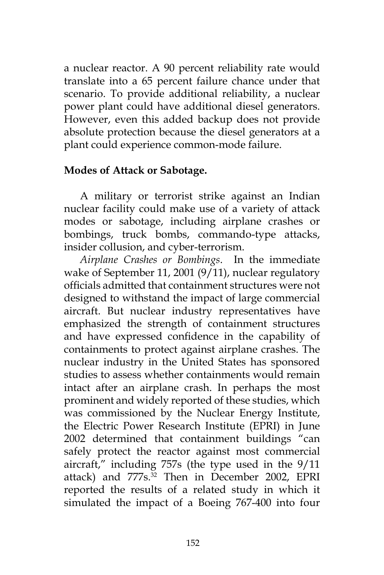a nuclear reactor. A 90 percent reliability rate would translate into a 65 percent failure chance under that scenario. To provide additional reliability, a nuclear power plant could have additional diesel generators. However, even this added backup does not provide absolute protection because the diesel generators at a plant could experience common-mode failure.

### **Modes of Attack or Sabotage.**

A military or terrorist strike against an Indian nuclear facility could make use of a variety of attack modes or sabotage, including airplane crashes or bombings, truck bombs, commando-type attacks, insider collusion, and cyber-terrorism.

*Airplane Crashes or Bombings*. In the immediate wake of September 11, 2001 (9/11), nuclear regulatory officials admitted that containment structures were not designed to withstand the impact of large commercial aircraft. But nuclear industry representatives have emphasized the strength of containment structures and have expressed confidence in the capability of containments to protect against airplane crashes. The nuclear industry in the United States has sponsored studies to assess whether containments would remain intact after an airplane crash. In perhaps the most prominent and widely reported of these studies, which was commissioned by the Nuclear Energy Institute, the Electric Power Research Institute (EPRI) in June 2002 determined that containment buildings "can safely protect the reactor against most commercial aircraft," including 757s (the type used in the 9/11 attack) and  $777s$ .<sup>32</sup> Then in December 2002, EPRI reported the results of a related study in which it simulated the impact of a Boeing 767-400 into four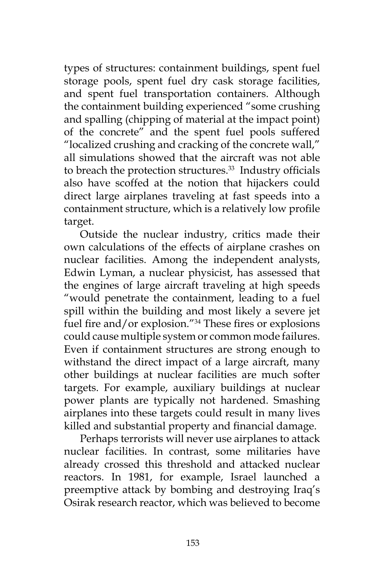types of structures: containment buildings, spent fuel storage pools, spent fuel dry cask storage facilities, and spent fuel transportation containers. Although the containment building experienced "some crushing and spalling (chipping of material at the impact point) of the concrete" and the spent fuel pools suffered "localized crushing and cracking of the concrete wall," all simulations showed that the aircraft was not able to breach the protection structures.<sup>33</sup> Industry officials also have scoffed at the notion that hijackers could direct large airplanes traveling at fast speeds into a containment structure, which is a relatively low profile target.

Outside the nuclear industry, critics made their own calculations of the effects of airplane crashes on nuclear facilities. Among the independent analysts, Edwin Lyman, a nuclear physicist, has assessed that the engines of large aircraft traveling at high speeds "would penetrate the containment, leading to a fuel spill within the building and most likely a severe jet fuel fire and/or explosion."<sup>34</sup> These fires or explosions could cause multiple system or common mode failures. Even if containment structures are strong enough to withstand the direct impact of a large aircraft, many other buildings at nuclear facilities are much softer targets. For example, auxiliary buildings at nuclear power plants are typically not hardened. Smashing airplanes into these targets could result in many lives killed and substantial property and financial damage.

Perhaps terrorists will never use airplanes to attack nuclear facilities. In contrast, some militaries have already crossed this threshold and attacked nuclear reactors. In 1981, for example, Israel launched a preemptive attack by bombing and destroying Iraq's Osirak research reactor, which was believed to become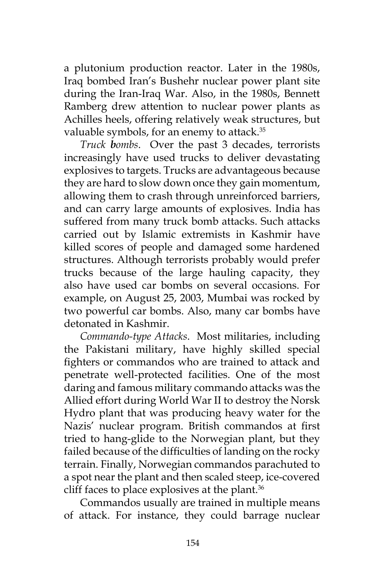a plutonium production reactor. Later in the 1980s, Iraq bombed Iran's Bushehr nuclear power plant site during the Iran-Iraq War. Also, in the 1980s, Bennett Ramberg drew attention to nuclear power plants as Achilles heels, offering relatively weak structures, but valuable symbols, for an enemy to attack.<sup>35</sup>

*Truck bombs*. Over the past 3 decades, terrorists increasingly have used trucks to deliver devastating explosives to targets. Trucks are advantageous because they are hard to slow down once they gain momentum, allowing them to crash through unreinforced barriers, and can carry large amounts of explosives. India has suffered from many truck bomb attacks. Such attacks carried out by Islamic extremists in Kashmir have killed scores of people and damaged some hardened structures. Although terrorists probably would prefer trucks because of the large hauling capacity, they also have used car bombs on several occasions. For example, on August 25, 2003, Mumbai was rocked by two powerful car bombs. Also, many car bombs have detonated in Kashmir.

*Commando-type Attacks*. Most militaries, including the Pakistani military, have highly skilled special fighters or commandos who are trained to attack and penetrate well-protected facilities. One of the most daring and famous military commando attacks was the Allied effort during World War II to destroy the Norsk Hydro plant that was producing heavy water for the Nazis' nuclear program. British commandos at first tried to hang-glide to the Norwegian plant, but they failed because of the difficulties of landing on the rocky terrain. Finally, Norwegian commandos parachuted to a spot near the plant and then scaled steep, ice-covered cliff faces to place explosives at the plant.<sup>36</sup>

Commandos usually are trained in multiple means of attack. For instance, they could barrage nuclear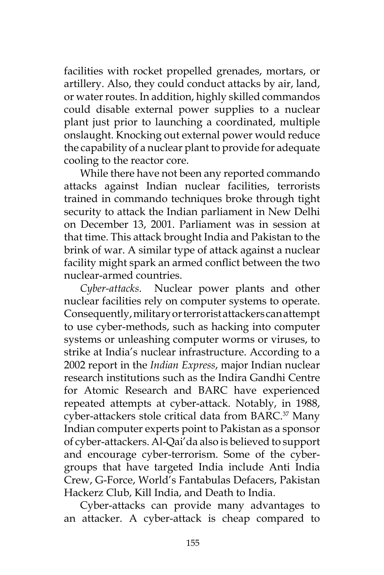facilities with rocket propelled grenades, mortars, or artillery. Also, they could conduct attacks by air, land, or water routes. In addition, highly skilled commandos could disable external power supplies to a nuclear plant just prior to launching a coordinated, multiple onslaught. Knocking out external power would reduce the capability of a nuclear plant to provide for adequate cooling to the reactor core.

While there have not been any reported commando attacks against Indian nuclear facilities, terrorists trained in commando techniques broke through tight security to attack the Indian parliament in New Delhi on December 13, 2001. Parliament was in session at that time. This attack brought India and Pakistan to the brink of war. A similar type of attack against a nuclear facility might spark an armed conflict between the two nuclear-armed countries.

*Cyber-attacks*. Nuclear power plants and other nuclear facilities rely on computer systems to operate. Consequently, military or terrorist attackers can attempt to use cyber-methods, such as hacking into computer systems or unleashing computer worms or viruses, to strike at India's nuclear infrastructure. According to a 2002 report in the *Indian Express*, major Indian nuclear research institutions such as the Indira Gandhi Centre for Atomic Research and BARC have experienced repeated attempts at cyber-attack. Notably, in 1988, cyber-attackers stole critical data from BARC.<sup>37</sup> Many Indian computer experts point to Pakistan as a sponsor of cyber-attackers. Al-Qai'da also is believed to support and encourage cyber-terrorism. Some of the cybergroups that have targeted India include Anti India Crew, G-Force, World's Fantabulas Defacers, Pakistan Hackerz Club, Kill India, and Death to India.

Cyber-attacks can provide many advantages to an attacker. A cyber-attack is cheap compared to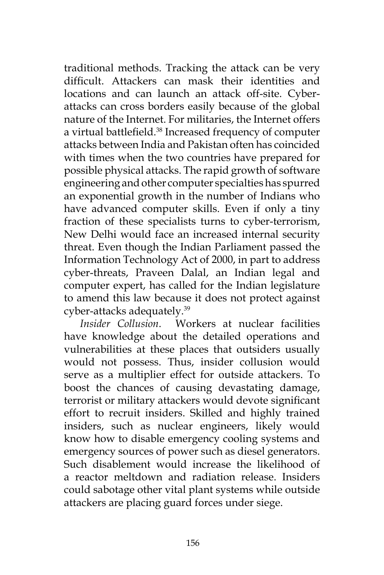traditional methods. Tracking the attack can be very difficult. Attackers can mask their identities and locations and can launch an attack off-site. Cyberattacks can cross borders easily because of the global nature of the Internet. For militaries, the Internet offers a virtual battlefield.<sup>38</sup> Increased frequency of computer attacks between India and Pakistan often has coincided with times when the two countries have prepared for possible physical attacks. The rapid growth of software engineering and other computer specialties has spurred an exponential growth in the number of Indians who have advanced computer skills. Even if only a tiny fraction of these specialists turns to cyber-terrorism, New Delhi would face an increased internal security threat. Even though the Indian Parliament passed the Information Technology Act of 2000, in part to address cyber-threats, Praveen Dalal, an Indian legal and computer expert, has called for the Indian legislature to amend this law because it does not protect against cyber-attacks adequately.39

*Insider Collusion*. Workers at nuclear facilities have knowledge about the detailed operations and vulnerabilities at these places that outsiders usually would not possess. Thus, insider collusion would serve as a multiplier effect for outside attackers. To boost the chances of causing devastating damage, terrorist or military attackers would devote significant effort to recruit insiders. Skilled and highly trained insiders, such as nuclear engineers, likely would know how to disable emergency cooling systems and emergency sources of power such as diesel generators. Such disablement would increase the likelihood of a reactor meltdown and radiation release. Insiders could sabotage other vital plant systems while outside attackers are placing guard forces under siege.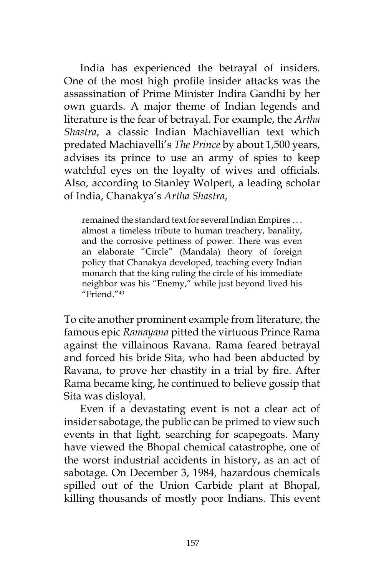India has experienced the betrayal of insiders. One of the most high profile insider attacks was the assassination of Prime Minister Indira Gandhi by her own guards. A major theme of Indian legends and literature is the fear of betrayal. For example, the *Artha Shastra*, a classic Indian Machiavellian text which predated Machiavelli's *The Prince* by about 1,500 years, advises its prince to use an army of spies to keep watchful eyes on the loyalty of wives and officials. Also, according to Stanley Wolpert, a leading scholar of India, Chanakya's *Artha Shastra*,

remained the standard text for several Indian Empires . . . almost a timeless tribute to human treachery, banality, and the corrosive pettiness of power. There was even an elaborate "Circle" (Mandala) theory of foreign policy that Chanakya developed, teaching every Indian monarch that the king ruling the circle of his immediate neighbor was his "Enemy," while just beyond lived his "Friend."40

To cite another prominent example from literature, the famous epic *Ramayana* pitted the virtuous Prince Rama against the villainous Ravana. Rama feared betrayal and forced his bride Sita, who had been abducted by Ravana, to prove her chastity in a trial by fire. After Rama became king, he continued to believe gossip that Sita was disloyal.

Even if a devastating event is not a clear act of insider sabotage, the public can be primed to view such events in that light, searching for scapegoats. Many have viewed the Bhopal chemical catastrophe, one of the worst industrial accidents in history, as an act of sabotage. On December 3, 1984, hazardous chemicals spilled out of the Union Carbide plant at Bhopal, killing thousands of mostly poor Indians. This event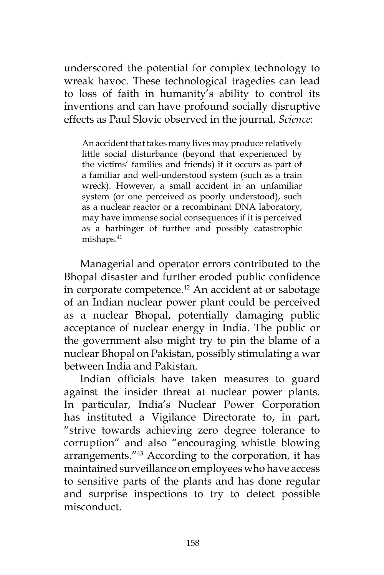underscored the potential for complex technology to wreak havoc. These technological tragedies can lead to loss of faith in humanity's ability to control its inventions and can have profound socially disruptive effects as Paul Slovic observed in the journal, *Science*:

An accident that takes many lives may produce relatively little social disturbance (beyond that experienced by the victims' families and friends) if it occurs as part of a familiar and well-understood system (such as a train wreck). However, a small accident in an unfamiliar system (or one perceived as poorly understood), such as a nuclear reactor or a recombinant DNA laboratory, may have immense social consequences if it is perceived as a harbinger of further and possibly catastrophic mishaps.<sup>41</sup>

Managerial and operator errors contributed to the Bhopal disaster and further eroded public confidence in corporate competence.<sup>42</sup> An accident at or sabotage of an Indian nuclear power plant could be perceived as a nuclear Bhopal, potentially damaging public acceptance of nuclear energy in India. The public or the government also might try to pin the blame of a nuclear Bhopal on Pakistan, possibly stimulating a war between India and Pakistan.

Indian officials have taken measures to guard against the insider threat at nuclear power plants. In particular, India's Nuclear Power Corporation has instituted a Vigilance Directorate to, in part, "strive towards achieving zero degree tolerance to corruption" and also "encouraging whistle blowing arrangements."43 According to the corporation, it has maintained surveillance on employees who have access to sensitive parts of the plants and has done regular and surprise inspections to try to detect possible misconduct.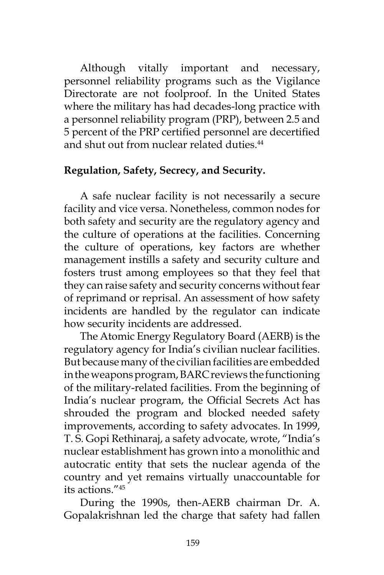Although vitally important and necessary, personnel reliability programs such as the Vigilance Directorate are not foolproof. In the United States where the military has had decades-long practice with a personnel reliability program (PRP), between 2.5 and 5 percent of the PRP certified personnel are decertified and shut out from nuclear related duties.<sup>44</sup>

#### **Regulation, Safety, Secrecy, and Security.**

A safe nuclear facility is not necessarily a secure facility and vice versa. Nonetheless, common nodes for both safety and security are the regulatory agency and the culture of operations at the facilities. Concerning the culture of operations, key factors are whether management instills a safety and security culture and fosters trust among employees so that they feel that they can raise safety and security concerns without fear of reprimand or reprisal. An assessment of how safety incidents are handled by the regulator can indicate how security incidents are addressed.

The Atomic Energy Regulatory Board (AERB) is the regulatory agency for India's civilian nuclear facilities. But because many of the civilian facilities are embedded in the weapons program, BARC reviews the functioning of the military-related facilities. From the beginning of India's nuclear program, the Official Secrets Act has shrouded the program and blocked needed safety improvements, according to safety advocates. In 1999, T. S. Gopi Rethinaraj, a safety advocate, wrote, "India's nuclear establishment has grown into a monolithic and autocratic entity that sets the nuclear agenda of the country and yet remains virtually unaccountable for its actions."45

During the 1990s, then-AERB chairman Dr. A. Gopalakrishnan led the charge that safety had fallen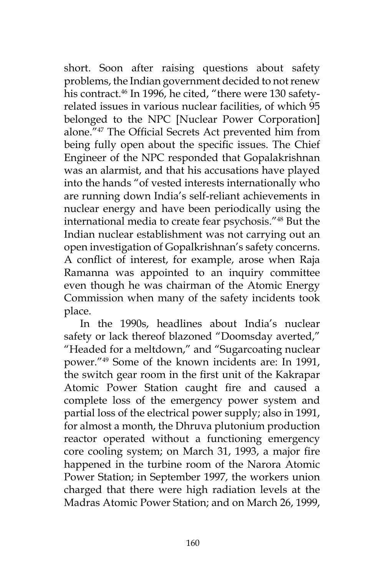short. Soon after raising questions about safety problems, the Indian government decided to not renew his contract.<sup>46</sup> In 1996, he cited, "there were 130 safetyrelated issues in various nuclear facilities, of which 95 belonged to the NPC [Nuclear Power Corporation] alone."47 The Official Secrets Act prevented him from being fully open about the specific issues. The Chief Engineer of the NPC responded that Gopalakrishnan was an alarmist, and that his accusations have played into the hands "of vested interests internationally who are running down India's self-reliant achievements in nuclear energy and have been periodically using the international media to create fear psychosis."48 But the Indian nuclear establishment was not carrying out an open investigation of Gopalkrishnan's safety concerns. A conflict of interest, for example, arose when Raja Ramanna was appointed to an inquiry committee even though he was chairman of the Atomic Energy Commission when many of the safety incidents took place.

In the 1990s, headlines about India's nuclear safety or lack thereof blazoned "Doomsday averted," "Headed for a meltdown," and "Sugarcoating nuclear power."49 Some of the known incidents are: In 1991, the switch gear room in the first unit of the Kakrapar Atomic Power Station caught fire and caused a complete loss of the emergency power system and partial loss of the electrical power supply; also in 1991, for almost a month, the Dhruva plutonium production reactor operated without a functioning emergency core cooling system; on March 31, 1993, a major fire happened in the turbine room of the Narora Atomic Power Station; in September 1997, the workers union charged that there were high radiation levels at the Madras Atomic Power Station; and on March 26, 1999,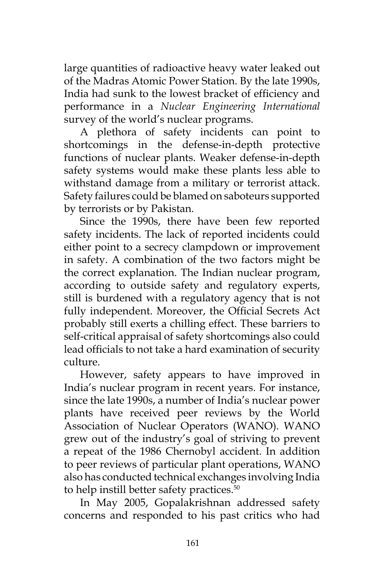large quantities of radioactive heavy water leaked out of the Madras Atomic Power Station. By the late 1990s, India had sunk to the lowest bracket of efficiency and performance in a *Nuclear Engineering International* survey of the world's nuclear programs.

A plethora of safety incidents can point to shortcomings in the defense-in-depth protective functions of nuclear plants. Weaker defense-in-depth safety systems would make these plants less able to withstand damage from a military or terrorist attack. Safety failures could be blamed on saboteurs supported by terrorists or by Pakistan.

Since the 1990s, there have been few reported safety incidents. The lack of reported incidents could either point to a secrecy clampdown or improvement in safety. A combination of the two factors might be the correct explanation. The Indian nuclear program, according to outside safety and regulatory experts, still is burdened with a regulatory agency that is not fully independent. Moreover, the Official Secrets Act probably still exerts a chilling effect. These barriers to self-critical appraisal of safety shortcomings also could lead officials to not take a hard examination of security culture.

However, safety appears to have improved in India's nuclear program in recent years. For instance, since the late 1990s, a number of India's nuclear power plants have received peer reviews by the World Association of Nuclear Operators (WANO). WANO grew out of the industry's goal of striving to prevent a repeat of the 1986 Chernobyl accident. In addition to peer reviews of particular plant operations, WANO also has conducted technical exchanges involving India to help instill better safety practices.<sup>50</sup>

In May 2005, Gopalakrishnan addressed safety concerns and responded to his past critics who had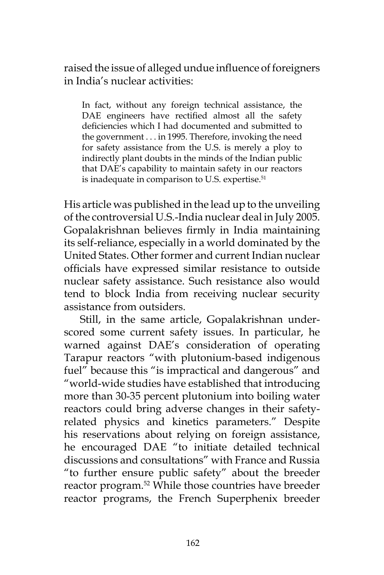raised the issue of alleged undue influence of foreigners in India's nuclear activities:

In fact, without any foreign technical assistance, the DAE engineers have rectified almost all the safety deficiencies which I had documented and submitted to the government . . . in 1995. Therefore, invoking the need for safety assistance from the U.S. is merely a ploy to indirectly plant doubts in the minds of the Indian public that DAE's capability to maintain safety in our reactors is inadequate in comparison to U.S. expertise.<sup>51</sup>

His article was published in the lead up to the unveiling of the controversial U.S.-India nuclear deal in July 2005. Gopalakrishnan believes firmly in India maintaining its self-reliance, especially in a world dominated by the United States. Other former and current Indian nuclear officials have expressed similar resistance to outside nuclear safety assistance. Such resistance also would tend to block India from receiving nuclear security assistance from outsiders.

Still, in the same article, Gopalakrishnan underscored some current safety issues. In particular, he warned against DAE's consideration of operating Tarapur reactors "with plutonium-based indigenous fuel" because this "is impractical and dangerous" and "world-wide studies have established that introducing more than 30-35 percent plutonium into boiling water reactors could bring adverse changes in their safetyrelated physics and kinetics parameters." Despite his reservations about relying on foreign assistance, he encouraged DAE "to initiate detailed technical discussions and consultations" with France and Russia "to further ensure public safety" about the breeder reactor program.52 While those countries have breeder reactor programs, the French Superphenix breeder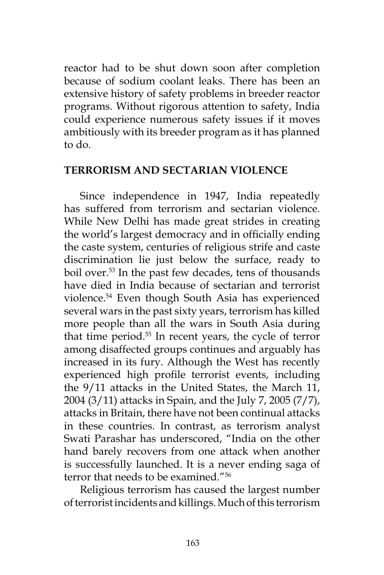reactor had to be shut down soon after completion because of sodium coolant leaks. There has been an extensive history of safety problems in breeder reactor programs. Without rigorous attention to safety, India could experience numerous safety issues if it moves ambitiously with its breeder program as it has planned to do.

#### **TERRORISM AND SECTARIAN VIOLENCE**

Since independence in 1947, India repeatedly has suffered from terrorism and sectarian violence. While New Delhi has made great strides in creating the world's largest democracy and in officially ending the caste system, centuries of religious strife and caste discrimination lie just below the surface, ready to boil over.53 In the past few decades, tens of thousands have died in India because of sectarian and terrorist violence.54 Even though South Asia has experienced several wars in the past sixty years, terrorism has killed more people than all the wars in South Asia during that time period.55 In recent years, the cycle of terror among disaffected groups continues and arguably has increased in its fury. Although the West has recently experienced high profile terrorist events, including the 9/11 attacks in the United States, the March 11, 2004 (3/11) attacks in Spain, and the July 7, 2005 (7/7), attacks in Britain, there have not been continual attacks in these countries. In contrast, as terrorism analyst Swati Parashar has underscored, "India on the other hand barely recovers from one attack when another is successfully launched. It is a never ending saga of terror that needs to be examined."56

Religious terrorism has caused the largest number of terrorist incidents and killings. Much of this terrorism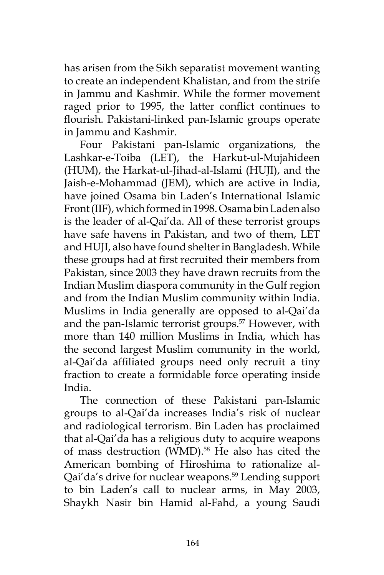has arisen from the Sikh separatist movement wanting to create an independent Khalistan, and from the strife in Jammu and Kashmir. While the former movement raged prior to 1995, the latter conflict continues to flourish. Pakistani-linked pan-Islamic groups operate in Jammu and Kashmir.

Four Pakistani pan-Islamic organizations, the Lashkar-e-Toiba (LET), the Harkut-ul-Mujahideen (HUM), the Harkat-ul-Jihad-al-Islami (HUJI), and the Jaish-e-Mohammad (JEM), which are active in India, have joined Osama bin Laden's International Islamic Front (IIF), which formed in 1998. Osama bin Laden also is the leader of al-Qai'da. All of these terrorist groups have safe havens in Pakistan, and two of them, LET and HUJI, also have found shelter in Bangladesh. While these groups had at first recruited their members from Pakistan, since 2003 they have drawn recruits from the Indian Muslim diaspora community in the Gulf region and from the Indian Muslim community within India. Muslims in India generally are opposed to al-Qai'da and the pan-Islamic terrorist groups.<sup>57</sup> However, with more than 140 million Muslims in India, which has the second largest Muslim community in the world, al-Qai'da affiliated groups need only recruit a tiny fraction to create a formidable force operating inside India.

The connection of these Pakistani pan-Islamic groups to al-Qai'da increases India's risk of nuclear and radiological terrorism. Bin Laden has proclaimed that al-Qai'da has a religious duty to acquire weapons of mass destruction (WMD).<sup>58</sup> He also has cited the American bombing of Hiroshima to rationalize al-Qai'da's drive for nuclear weapons.<sup>59</sup> Lending support to bin Laden's call to nuclear arms, in May 2003, Shaykh Nasir bin Hamid al-Fahd, a young Saudi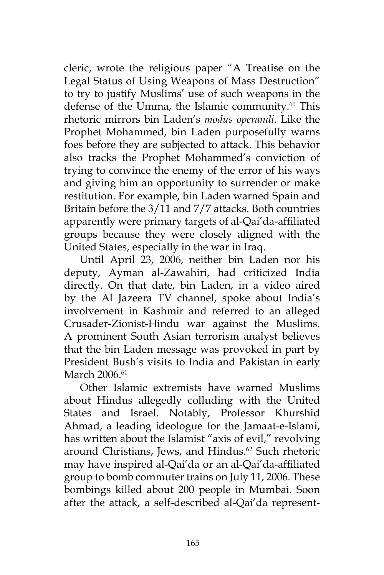cleric, wrote the religious paper "A Treatise on the Legal Status of Using Weapons of Mass Destruction" to try to justify Muslims' use of such weapons in the defense of the Umma, the Islamic community.<sup>60</sup> This rhetoric mirrors bin Laden's *modus operandi*. Like the Prophet Mohammed, bin Laden purposefully warns foes before they are subjected to attack. This behavior also tracks the Prophet Mohammed's conviction of trying to convince the enemy of the error of his ways and giving him an opportunity to surrender or make restitution. For example, bin Laden warned Spain and Britain before the 3/11 and 7/7 attacks. Both countries apparently were primary targets of al-Qai'da-affiliated groups because they were closely aligned with the United States, especially in the war in Iraq.

Until April 23, 2006, neither bin Laden nor his deputy, Ayman al-Zawahiri, had criticized India directly. On that date, bin Laden, in a video aired by the Al Jazeera TV channel, spoke about India's involvement in Kashmir and referred to an alleged Crusader-Zionist-Hindu war against the Muslims. A prominent South Asian terrorism analyst believes that the bin Laden message was provoked in part by President Bush's visits to India and Pakistan in early March 2006<sup>61</sup>

Other Islamic extremists have warned Muslims about Hindus allegedly colluding with the United States and Israel. Notably, Professor Khurshid Ahmad, a leading ideologue for the Jamaat-e-Islami, has written about the Islamist "axis of evil," revolving around Christians, Jews, and Hindus.<sup>62</sup> Such rhetoric may have inspired al-Qai'da or an al-Qai'da-affiliated group to bomb commuter trains on July 11, 2006. These bombings killed about 200 people in Mumbai. Soon after the attack, a self-described al-Qai'da represent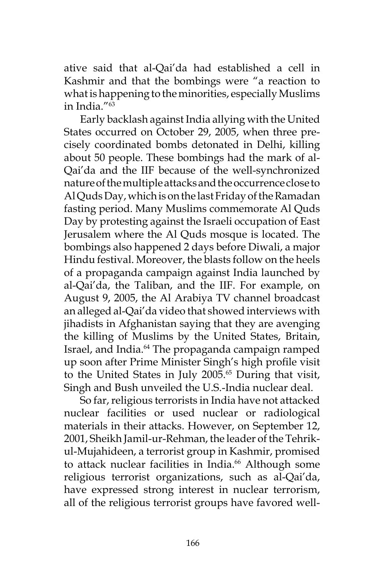ative said that al-Qai'da had established a cell in Kashmir and that the bombings were "a reaction to what is happening to the minorities, especially Muslims in India."63

Early backlash against India allying with the United States occurred on October 29, 2005, when three precisely coordinated bombs detonated in Delhi, killing about 50 people. These bombings had the mark of al-Qai'da and the IIF because of the well-synchronized nature of the multiple attacks and the occurrence close to Al Quds Day, which is on the last Friday of the Ramadan fasting period. Many Muslims commemorate Al Quds Day by protesting against the Israeli occupation of East Jerusalem where the Al Quds mosque is located. The bombings also happened 2 days before Diwali, a major Hindu festival. Moreover, the blasts follow on the heels of a propaganda campaign against India launched by al-Qai'da, the Taliban, and the IIF. For example, on August 9, 2005, the Al Arabiya TV channel broadcast an alleged al-Qai'da video that showed interviews with jihadists in Afghanistan saying that they are avenging the killing of Muslims by the United States, Britain, Israel, and India.<sup>64</sup> The propaganda campaign ramped up soon after Prime Minister Singh's high profile visit to the United States in July 2005.<sup>65</sup> During that visit, Singh and Bush unveiled the U.S.-India nuclear deal.

So far, religious terrorists in India have not attacked nuclear facilities or used nuclear or radiological materials in their attacks. However, on September 12, 2001, Sheikh Jamil-ur-Rehman, the leader of the Tehrikul-Mujahideen, a terrorist group in Kashmir, promised to attack nuclear facilities in India.<sup>66</sup> Although some religious terrorist organizations, such as al-Qai'da, have expressed strong interest in nuclear terrorism, all of the religious terrorist groups have favored well-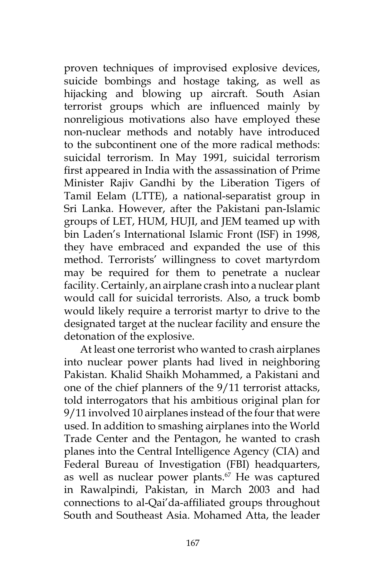proven techniques of improvised explosive devices, suicide bombings and hostage taking, as well as hijacking and blowing up aircraft. South Asian terrorist groups which are influenced mainly by nonreligious motivations also have employed these non-nuclear methods and notably have introduced to the subcontinent one of the more radical methods: suicidal terrorism. In May 1991, suicidal terrorism first appeared in India with the assassination of Prime Minister Rajiv Gandhi by the Liberation Tigers of Tamil Eelam (LTTE), a national-separatist group in Sri Lanka. However, after the Pakistani pan-Islamic groups of LET, HUM, HUJI, and JEM teamed up with bin Laden's International Islamic Front (ISF) in 1998, they have embraced and expanded the use of this method. Terrorists' willingness to covet martyrdom may be required for them to penetrate a nuclear facility. Certainly, an airplane crash into a nuclear plant would call for suicidal terrorists. Also, a truck bomb would likely require a terrorist martyr to drive to the designated target at the nuclear facility and ensure the detonation of the explosive.

At least one terrorist who wanted to crash airplanes into nuclear power plants had lived in neighboring Pakistan. Khalid Shaikh Mohammed, a Pakistani and one of the chief planners of the 9/11 terrorist attacks, told interrogators that his ambitious original plan for 9/11 involved 10 airplanes instead of the four that were used. In addition to smashing airplanes into the World Trade Center and the Pentagon, he wanted to crash planes into the Central Intelligence Agency (CIA) and Federal Bureau of Investigation (FBI) headquarters, as well as nuclear power plants.<sup>67</sup> He was captured in Rawalpindi, Pakistan, in March 2003 and had connections to al-Qai'da-affiliated groups throughout South and Southeast Asia. Mohamed Atta, the leader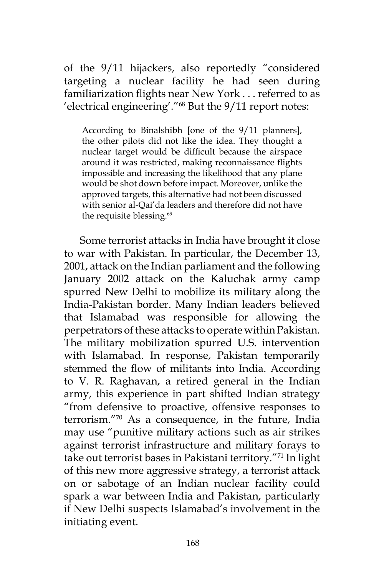of the 9/11 hijackers, also reportedly "considered targeting a nuclear facility he had seen during familiarization flights near New York . . . referred to as 'electrical engineering'."68 But the 9/11 report notes:

According to Binalshibh [one of the 9/11 planners], the other pilots did not like the idea. They thought a nuclear target would be difficult because the airspace around it was restricted, making reconnaissance flights impossible and increasing the likelihood that any plane would be shot down before impact. Moreover, unlike the approved targets, this alternative had not been discussed with senior al-Qai'da leaders and therefore did not have the requisite blessing.<sup>69</sup>

Some terrorist attacks in India have brought it close to war with Pakistan. In particular, the December 13, 2001, attack on the Indian parliament and the following January 2002 attack on the Kaluchak army camp spurred New Delhi to mobilize its military along the India-Pakistan border. Many Indian leaders believed that Islamabad was responsible for allowing the perpetrators of these attacks to operate within Pakistan. The military mobilization spurred U.S. intervention with Islamabad. In response, Pakistan temporarily stemmed the flow of militants into India. According to V. R. Raghavan, a retired general in the Indian army, this experience in part shifted Indian strategy "from defensive to proactive, offensive responses to terrorism."70 As a consequence, in the future, India may use "punitive military actions such as air strikes against terrorist infrastructure and military forays to take out terrorist bases in Pakistani territory."71 In light of this new more aggressive strategy, a terrorist attack on or sabotage of an Indian nuclear facility could spark a war between India and Pakistan, particularly if New Delhi suspects Islamabad's involvement in the initiating event.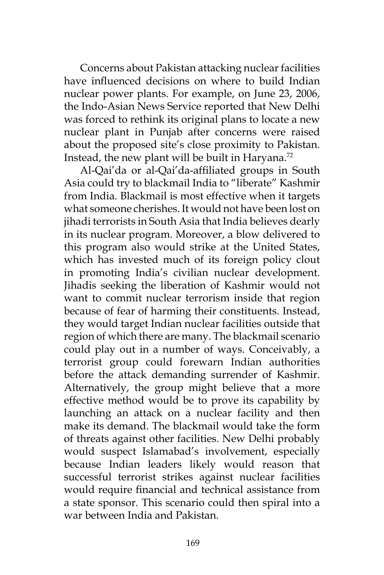Concerns about Pakistan attacking nuclear facilities have influenced decisions on where to build Indian nuclear power plants. For example, on June 23, 2006, the Indo-Asian News Service reported that New Delhi was forced to rethink its original plans to locate a new nuclear plant in Punjab after concerns were raised about the proposed site's close proximity to Pakistan. Instead, the new plant will be built in Haryana.<sup>72</sup>

Al-Qai'da or al-Qai'da-affiliated groups in South Asia could try to blackmail India to "liberate" Kashmir from India. Blackmail is most effective when it targets what someone cherishes. It would not have been lost on jihadi terrorists in South Asia that India believes dearly in its nuclear program. Moreover, a blow delivered to this program also would strike at the United States, which has invested much of its foreign policy clout in promoting India's civilian nuclear development. Jihadis seeking the liberation of Kashmir would not want to commit nuclear terrorism inside that region because of fear of harming their constituents. Instead, they would target Indian nuclear facilities outside that region of which there are many. The blackmail scenario could play out in a number of ways. Conceivably, a terrorist group could forewarn Indian authorities before the attack demanding surrender of Kashmir. Alternatively, the group might believe that a more effective method would be to prove its capability by launching an attack on a nuclear facility and then make its demand. The blackmail would take the form of threats against other facilities. New Delhi probably would suspect Islamabad's involvement, especially because Indian leaders likely would reason that successful terrorist strikes against nuclear facilities would require financial and technical assistance from a state sponsor. This scenario could then spiral into a war between India and Pakistan.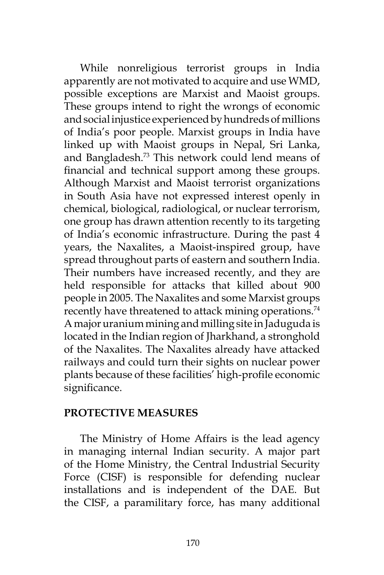While nonreligious terrorist groups in India apparently are not motivated to acquire and use WMD, possible exceptions are Marxist and Maoist groups. These groups intend to right the wrongs of economic and social injustice experienced by hundreds of millions of India's poor people. Marxist groups in India have linked up with Maoist groups in Nepal, Sri Lanka, and Bangladesh.73 This network could lend means of financial and technical support among these groups. Although Marxist and Maoist terrorist organizations in South Asia have not expressed interest openly in chemical, biological, radiological, or nuclear terrorism, one group has drawn attention recently to its targeting of India's economic infrastructure. During the past 4 years, the Naxalites, a Maoist-inspired group, have spread throughout parts of eastern and southern India. Their numbers have increased recently, and they are held responsible for attacks that killed about 900 people in 2005. The Naxalites and some Marxist groups recently have threatened to attack mining operations.<sup>74</sup> A major uranium mining and milling site in Jaduguda is located in the Indian region of Jharkhand, a stronghold of the Naxalites. The Naxalites already have attacked railways and could turn their sights on nuclear power plants because of these facilities' high-profile economic significance.

#### **PROTECTIVE MEASURES**

The Ministry of Home Affairs is the lead agency in managing internal Indian security. A major part of the Home Ministry, the Central Industrial Security Force (CISF) is responsible for defending nuclear installations and is independent of the DAE. But the CISF, a paramilitary force, has many additional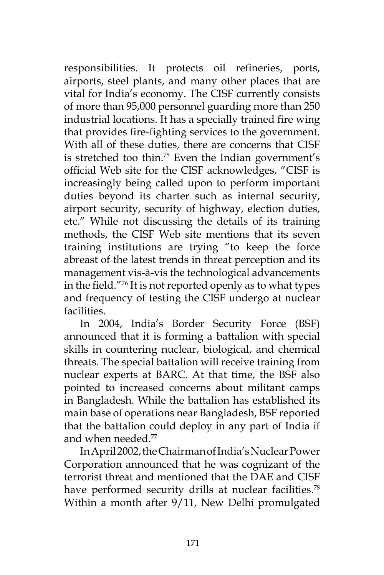responsibilities. It protects oil refineries, ports, airports, steel plants, and many other places that are vital for India's economy. The CISF currently consists of more than 95,000 personnel guarding more than 250 industrial locations. It has a specially trained fire wing that provides fire-fighting services to the government. With all of these duties, there are concerns that CISF is stretched too thin.<sup>75</sup> Even the Indian government's official Web site for the CISF acknowledges, "CISF is increasingly being called upon to perform important duties beyond its charter such as internal security, airport security, security of highway, election duties, etc." While not discussing the details of its training methods, the CISF Web site mentions that its seven training institutions are trying "to keep the force abreast of the latest trends in threat perception and its management vis-à-vis the technological advancements in the field."76 It is not reported openly as to what types and frequency of testing the CISF undergo at nuclear facilities.

In 2004, India's Border Security Force (BSF) announced that it is forming a battalion with special skills in countering nuclear, biological, and chemical threats. The special battalion will receive training from nuclear experts at BARC. At that time, the BSF also pointed to increased concerns about militant camps in Bangladesh. While the battalion has established its main base of operations near Bangladesh, BSF reported that the battalion could deploy in any part of India if and when needed.<sup>77</sup>

In April 2002, the Chairman of India's Nuclear Power Corporation announced that he was cognizant of the terrorist threat and mentioned that the DAE and CISF have performed security drills at nuclear facilities.<sup>78</sup> Within a month after 9/11, New Delhi promulgated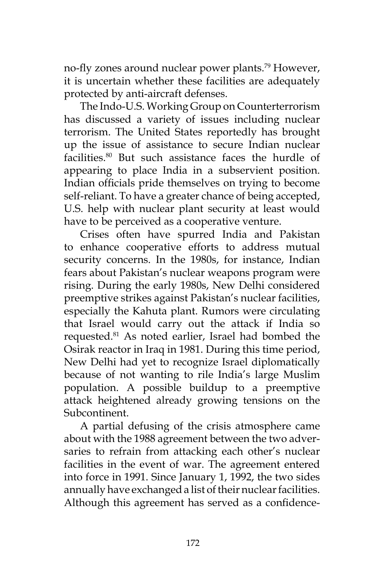no-fly zones around nuclear power plants.<sup>79</sup> However, it is uncertain whether these facilities are adequately protected by anti-aircraft defenses.

The Indo-U.S. Working Group on Counterterrorism has discussed a variety of issues including nuclear terrorism. The United States reportedly has brought up the issue of assistance to secure Indian nuclear facilities.<sup>80</sup> But such assistance faces the hurdle of appearing to place India in a subservient position. Indian officials pride themselves on trying to become self-reliant. To have a greater chance of being accepted, U.S. help with nuclear plant security at least would have to be perceived as a cooperative venture.

Crises often have spurred India and Pakistan to enhance cooperative efforts to address mutual security concerns. In the 1980s, for instance, Indian fears about Pakistan's nuclear weapons program were rising. During the early 1980s, New Delhi considered preemptive strikes against Pakistan's nuclear facilities, especially the Kahuta plant. Rumors were circulating that Israel would carry out the attack if India so requested.81 As noted earlier, Israel had bombed the Osirak reactor in Iraq in 1981. During this time period, New Delhi had yet to recognize Israel diplomatically because of not wanting to rile India's large Muslim population. A possible buildup to a preemptive attack heightened already growing tensions on the Subcontinent.

A partial defusing of the crisis atmosphere came about with the 1988 agreement between the two adversaries to refrain from attacking each other's nuclear facilities in the event of war. The agreement entered into force in 1991. Since January 1, 1992, the two sides annually have exchanged a list of their nuclear facilities. Although this agreement has served as a confidence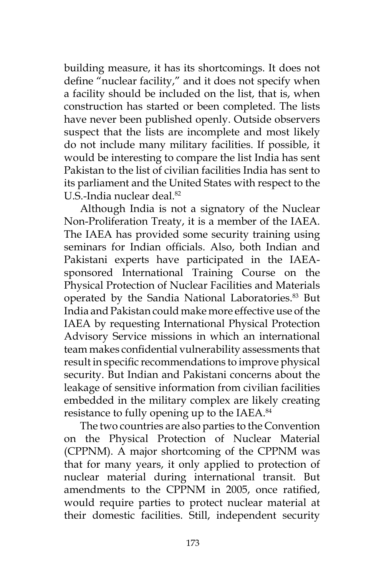building measure, it has its shortcomings. It does not define "nuclear facility," and it does not specify when a facility should be included on the list, that is, when construction has started or been completed. The lists have never been published openly. Outside observers suspect that the lists are incomplete and most likely do not include many military facilities. If possible, it would be interesting to compare the list India has sent Pakistan to the list of civilian facilities India has sent to its parliament and the United States with respect to the U.S.-India nuclear deal.<sup>82</sup>

Although India is not a signatory of the Nuclear Non-Proliferation Treaty, it is a member of the IAEA. The IAEA has provided some security training using seminars for Indian officials. Also, both Indian and Pakistani experts have participated in the IAEAsponsored International Training Course on the Physical Protection of Nuclear Facilities and Materials operated by the Sandia National Laboratories.<sup>83</sup> But India and Pakistan could make more effective use of the IAEA by requesting International Physical Protection Advisory Service missions in which an international team makes confidential vulnerability assessments that result in specific recommendations to improve physical security. But Indian and Pakistani concerns about the leakage of sensitive information from civilian facilities embedded in the military complex are likely creating resistance to fully opening up to the IAEA.<sup>84</sup>

The two countries are also parties to the Convention on the Physical Protection of Nuclear Material (CPPNM). A major shortcoming of the CPPNM was that for many years, it only applied to protection of nuclear material during international transit. But amendments to the CPPNM in 2005, once ratified, would require parties to protect nuclear material at their domestic facilities. Still, independent security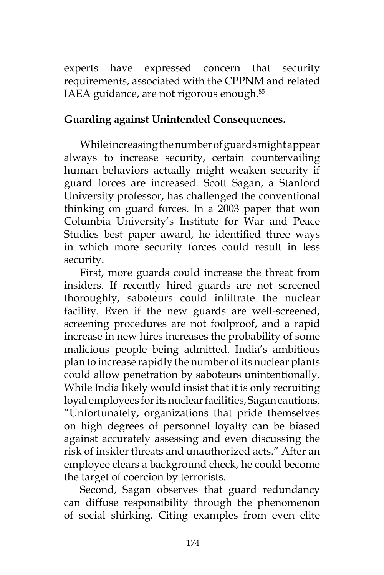experts have expressed concern that security requirements, associated with the CPPNM and related IAEA guidance, are not rigorous enough.<sup>85</sup>

# **Guarding against Unintended Consequences.**

While increasing the number of guards might appear always to increase security, certain countervailing human behaviors actually might weaken security if guard forces are increased. Scott Sagan, a Stanford University professor, has challenged the conventional thinking on guard forces. In a 2003 paper that won Columbia University's Institute for War and Peace Studies best paper award, he identified three ways in which more security forces could result in less security.

First, more guards could increase the threat from insiders. If recently hired guards are not screened thoroughly, saboteurs could infiltrate the nuclear facility. Even if the new guards are well-screened, screening procedures are not foolproof, and a rapid increase in new hires increases the probability of some malicious people being admitted. India's ambitious plan to increase rapidly the number of its nuclear plants could allow penetration by saboteurs unintentionally. While India likely would insist that it is only recruiting loyal employees for its nuclear facilities, Sagan cautions, "Unfortunately, organizations that pride themselves on high degrees of personnel loyalty can be biased against accurately assessing and even discussing the risk of insider threats and unauthorized acts." After an employee clears a background check, he could become the target of coercion by terrorists.

Second, Sagan observes that guard redundancy can diffuse responsibility through the phenomenon of social shirking. Citing examples from even elite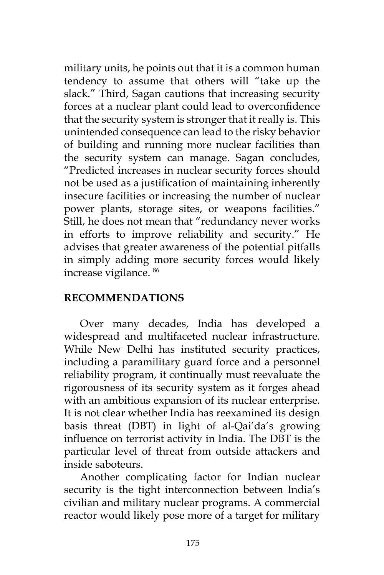military units, he points out that it is a common human tendency to assume that others will "take up the slack." Third, Sagan cautions that increasing security forces at a nuclear plant could lead to overconfidence that the security system is stronger that it really is. This unintended consequence can lead to the risky behavior of building and running more nuclear facilities than the security system can manage. Sagan concludes, "Predicted increases in nuclear security forces should not be used as a justification of maintaining inherently insecure facilities or increasing the number of nuclear power plants, storage sites, or weapons facilities." Still, he does not mean that "redundancy never works in efforts to improve reliability and security." He advises that greater awareness of the potential pitfalls in simply adding more security forces would likely increase vigilance. 86

# **RECOMMENDATIONS**

Over many decades, India has developed a widespread and multifaceted nuclear infrastructure. While New Delhi has instituted security practices, including a paramilitary guard force and a personnel reliability program, it continually must reevaluate the rigorousness of its security system as it forges ahead with an ambitious expansion of its nuclear enterprise. It is not clear whether India has reexamined its design basis threat (DBT) in light of al-Qai'da's growing influence on terrorist activity in India. The DBT is the particular level of threat from outside attackers and inside saboteurs.

Another complicating factor for Indian nuclear security is the tight interconnection between India's civilian and military nuclear programs. A commercial reactor would likely pose more of a target for military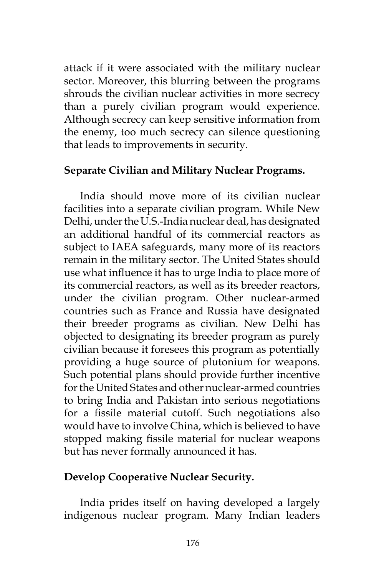attack if it were associated with the military nuclear sector. Moreover, this blurring between the programs shrouds the civilian nuclear activities in more secrecy than a purely civilian program would experience. Although secrecy can keep sensitive information from the enemy, too much secrecy can silence questioning that leads to improvements in security.

### **Separate Civilian and Military Nuclear Programs.**

India should move more of its civilian nuclear facilities into a separate civilian program. While New Delhi, under the U.S.-India nuclear deal, has designated an additional handful of its commercial reactors as subject to IAEA safeguards, many more of its reactors remain in the military sector. The United States should use what influence it has to urge India to place more of its commercial reactors, as well as its breeder reactors, under the civilian program. Other nuclear-armed countries such as France and Russia have designated their breeder programs as civilian. New Delhi has objected to designating its breeder program as purely civilian because it foresees this program as potentially providing a huge source of plutonium for weapons. Such potential plans should provide further incentive for the United States and other nuclear-armed countries to bring India and Pakistan into serious negotiations for a fissile material cutoff. Such negotiations also would have to involve China, which is believed to have stopped making fissile material for nuclear weapons but has never formally announced it has.

## **Develop Cooperative Nuclear Security.**

India prides itself on having developed a largely indigenous nuclear program. Many Indian leaders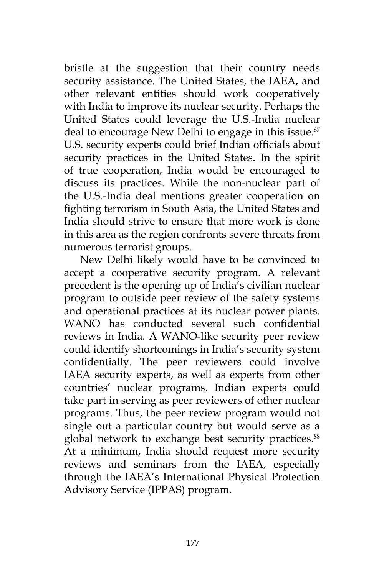bristle at the suggestion that their country needs security assistance. The United States, the IAEA, and other relevant entities should work cooperatively with India to improve its nuclear security. Perhaps the United States could leverage the U.S.-India nuclear deal to encourage New Delhi to engage in this issue.<sup>87</sup> U.S. security experts could brief Indian officials about security practices in the United States. In the spirit of true cooperation, India would be encouraged to discuss its practices. While the non-nuclear part of the U.S.-India deal mentions greater cooperation on fighting terrorism in South Asia, the United States and India should strive to ensure that more work is done in this area as the region confronts severe threats from numerous terrorist groups.

New Delhi likely would have to be convinced to accept a cooperative security program. A relevant precedent is the opening up of India's civilian nuclear program to outside peer review of the safety systems and operational practices at its nuclear power plants. WANO has conducted several such confidential reviews in India. A WANO-like security peer review could identify shortcomings in India's security system confidentially. The peer reviewers could involve IAEA security experts, as well as experts from other countries' nuclear programs. Indian experts could take part in serving as peer reviewers of other nuclear programs. Thus, the peer review program would not single out a particular country but would serve as a global network to exchange best security practices.<sup>88</sup> At a minimum, India should request more security reviews and seminars from the IAEA, especially through the IAEA's International Physical Protection Advisory Service (IPPAS) program.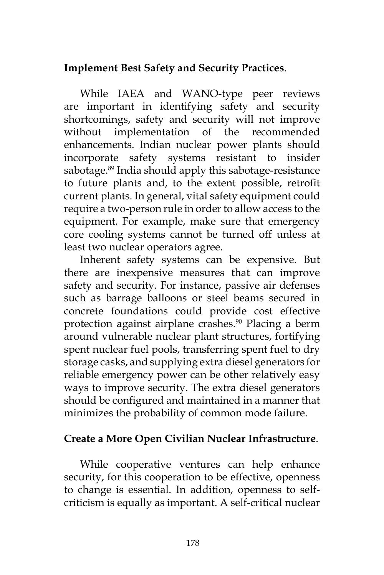# **Implement Best Safety and Security Practices**.

While IAEA and WANO-type peer reviews are important in identifying safety and security shortcomings, safety and security will not improve without implementation of the recommended enhancements. Indian nuclear power plants should incorporate safety systems resistant to insider sabotage.<sup>89</sup> India should apply this sabotage-resistance to future plants and, to the extent possible, retrofit current plants. In general, vital safety equipment could require a two-person rule in order to allow access to the equipment. For example, make sure that emergency core cooling systems cannot be turned off unless at least two nuclear operators agree.

Inherent safety systems can be expensive. But there are inexpensive measures that can improve safety and security. For instance, passive air defenses such as barrage balloons or steel beams secured in concrete foundations could provide cost effective protection against airplane crashes.<sup>90</sup> Placing a berm around vulnerable nuclear plant structures, fortifying spent nuclear fuel pools, transferring spent fuel to dry storage casks, and supplying extra diesel generators for reliable emergency power can be other relatively easy ways to improve security. The extra diesel generators should be configured and maintained in a manner that minimizes the probability of common mode failure.

# **Create a More Open Civilian Nuclear Infrastructure**.

While cooperative ventures can help enhance security, for this cooperation to be effective, openness to change is essential. In addition, openness to selfcriticism is equally as important. A self-critical nuclear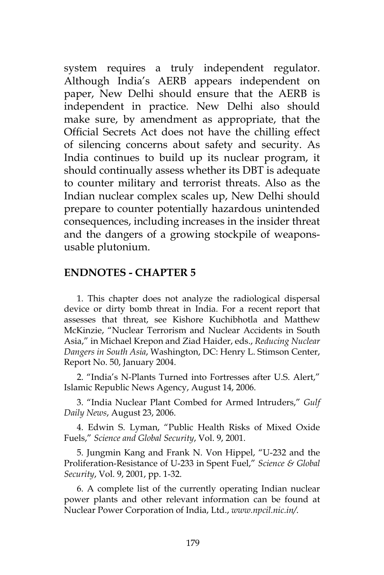system requires a truly independent regulator. Although India's AERB appears independent on paper, New Delhi should ensure that the AERB is independent in practice. New Delhi also should make sure, by amendment as appropriate, that the Official Secrets Act does not have the chilling effect of silencing concerns about safety and security. As India continues to build up its nuclear program, it should continually assess whether its DBT is adequate to counter military and terrorist threats. Also as the Indian nuclear complex scales up, New Delhi should prepare to counter potentially hazardous unintended consequences, including increases in the insider threat and the dangers of a growing stockpile of weaponsusable plutonium.

### **ENDNOTES - CHAPTER 5**

1. This chapter does not analyze the radiological dispersal device or dirty bomb threat in India. For a recent report that assesses that threat, see Kishore Kuchibhotla and Matthew McKinzie, "Nuclear Terrorism and Nuclear Accidents in South Asia," in Michael Krepon and Ziad Haider, eds., *Reducing Nuclear Dangers in South Asia*, Washington, DC: Henry L. Stimson Center, Report No. 50, January 2004.

2. "India's N-Plants Turned into Fortresses after U.S. Alert," Islamic Republic News Agency, August 14, 2006.

3. "India Nuclear Plant Combed for Armed Intruders," *Gulf Daily News*, August 23, 2006.

4. Edwin S. Lyman, "Public Health Risks of Mixed Oxide Fuels," *Science and Global Security*, Vol. 9, 2001.

5. Jungmin Kang and Frank N. Von Hippel, "U-232 and the Proliferation-Resistance of U-233 in Spent Fuel," *Science & Global Security*, Vol. 9, 2001, pp. 1-32.

6. A complete list of the currently operating Indian nuclear power plants and other relevant information can be found at Nuclear Power Corporation of India, Ltd., *www.npcil.nic.in/*.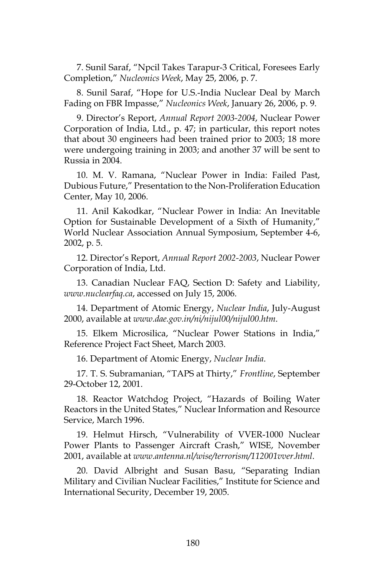7. Sunil Saraf, "Npcil Takes Tarapur-3 Critical, Foresees Early Completion," *Nucleonics Week*, May 25, 2006, p. 7.

8. Sunil Saraf, "Hope for U.S.-India Nuclear Deal by March Fading on FBR Impasse," *Nucleonics Week*, January 26, 2006, p. 9.

9. Director's Report, *Annual Report 2003-2004*, Nuclear Power Corporation of India, Ltd., p. 47; in particular, this report notes that about 30 engineers had been trained prior to 2003; 18 more were undergoing training in 2003; and another 37 will be sent to Russia in 2004.

10. M. V. Ramana, "Nuclear Power in India: Failed Past, Dubious Future," Presentation to the Non-Proliferation Education Center, May 10, 2006.

11. Anil Kakodkar, "Nuclear Power in India: An Inevitable Option for Sustainable Development of a Sixth of Humanity," World Nuclear Association Annual Symposium, September 4-6, 2002, p. 5.

12. Director's Report, *Annual Report 2002-2003*, Nuclear Power Corporation of India, Ltd.

13. Canadian Nuclear FAQ, Section D: Safety and Liability, *www.nuclearfaq.ca*, accessed on July 15, 2006.

14. Department of Atomic Energy, *Nuclear India*, July-August 2000, available at *www.dae.gov.in/ni/nijul00/nijul00.htm*.

15. Elkem Microsilica, "Nuclear Power Stations in India," Reference Project Fact Sheet, March 2003.

16. Department of Atomic Energy, *Nuclear India*.

17. T. S. Subramanian, "TAPS at Thirty," *Frontline*, September 29-October 12, 2001.

18. Reactor Watchdog Project, "Hazards of Boiling Water Reactors in the United States," Nuclear Information and Resource Service, March 1996.

19. Helmut Hirsch, "Vulnerability of VVER-1000 Nuclear Power Plants to Passenger Aircraft Crash," WISE, November 2001, available at *www.antenna.nl/wise/terrorism/112001vver.html*.

20. David Albright and Susan Basu, "Separating Indian Military and Civilian Nuclear Facilities," Institute for Science and International Security, December 19, 2005.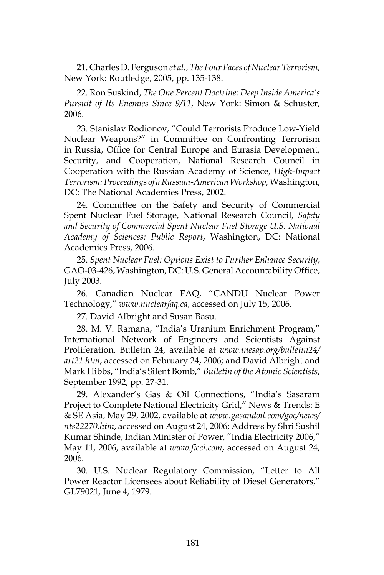21. Charles D. Ferguson *et al*., *The Four Faces of Nuclear Terrorism*, New York: Routledge, 2005, pp. 135-138.

22. Ron Suskind, *The One Percent Doctrine: Deep Inside America's Pursuit of Its Enemies Since 9/11*, New York: Simon & Schuster, 2006.

23. Stanislav Rodionov, "Could Terrorists Produce Low-Yield Nuclear Weapons?" in Committee on Confronting Terrorism in Russia, Office for Central Europe and Eurasia Development, Security, and Cooperation, National Research Council in Cooperation with the Russian Academy of Science, *High-Impact Terrorism: Proceedings of a Russian-American Workshop,* Washington, DC: The National Academies Press, 2002.

24. Committee on the Safety and Security of Commercial Spent Nuclear Fuel Storage, National Research Council, *Safety and Security of Commercial Spent Nuclear Fuel Storage U.S. National Academy of Sciences: Public Report*, Washington, DC: National Academies Press, 2006.

25. *Spent Nuclear Fuel: Options Exist to Further Enhance Security*, GAO-03-426, Washington, DC: U.S. General Accountability Office, July 2003.

26. Canadian Nuclear FAQ, "CANDU Nuclear Power Technology," *www.nuclearfaq.ca*, accessed on July 15, 2006.

27. David Albright and Susan Basu.

28. M. V. Ramana, "India's Uranium Enrichment Program," International Network of Engineers and Scientists Against Proliferation, Bulletin 24, available at *www.inesap.org/bulletin24/ art21.htm*, accessed on February 24, 2006; and David Albright and Mark Hibbs, "India's Silent Bomb," *Bulletin of the Atomic Scientists*, September 1992, pp. 27-31.

29. Alexander's Gas & Oil Connections, "India's Sasaram Project to Complete National Electricity Grid," News & Trends: E & SE Asia, May 29, 2002, available at *www.gasandoil.com/goc/news/ nts22270.htm*, accessed on August 24, 2006; Address by Shri Sushil Kumar Shinde, Indian Minister of Power, "India Electricity 2006," May 11, 2006, available at *www.ficci.com*, accessed on August 24, 2006.

30. U.S. Nuclear Regulatory Commission, "Letter to All Power Reactor Licensees about Reliability of Diesel Generators," GL79021, June 4, 1979.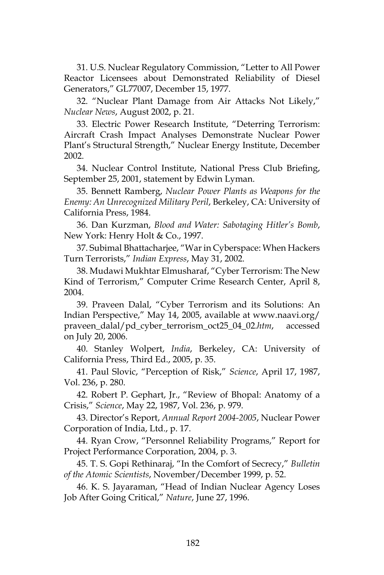31. U.S. Nuclear Regulatory Commission, "Letter to All Power Reactor Licensees about Demonstrated Reliability of Diesel Generators," GL77007, December 15, 1977.

32. "Nuclear Plant Damage from Air Attacks Not Likely," *Nuclear News*, August 2002, p. 21.

33. Electric Power Research Institute, "Deterring Terrorism: Aircraft Crash Impact Analyses Demonstrate Nuclear Power Plant's Structural Strength," Nuclear Energy Institute, December 2002.

34. Nuclear Control Institute, National Press Club Briefing, September 25, 2001, statement by Edwin Lyman.

35. Bennett Ramberg, *Nuclear Power Plants as Weapons for the Enemy: An Unrecognized Military Peril*, Berkeley, CA: University of California Press, 1984.

36. Dan Kurzman, *Blood and Water: Sabotaging Hitler's Bomb*, New York: Henry Holt & Co., 1997.

37. Subimal Bhattacharjee, "War in Cyberspace: When Hackers Turn Terrorists," *Indian Express*, May 31, 2002.

38. Mudawi Mukhtar Elmusharaf, "Cyber Terrorism: The New Kind of Terrorism," Computer Crime Research Center, April 8, 2004.

39. Praveen Dalal, "Cyber Terrorism and its Solutions: An Indian Perspective," May 14, 2005, available at www.naavi.org/ praveen\_dalal/pd\_cyber\_terrorism\_oct25\_04\_02.*htm*, accessed on July 20, 2006.

40. Stanley Wolpert, *India*, Berkeley, CA: University of California Press, Third Ed., 2005, p. 35.

41. Paul Slovic, "Perception of Risk," *Science*, April 17, 1987, Vol. 236, p. 280.

42. Robert P. Gephart, Jr., "Review of Bhopal: Anatomy of a Crisis," *Science*, May 22, 1987, Vol. 236, p. 979.

43. Director's Report, *Annual Report 2004-2005*, Nuclear Power Corporation of India, Ltd., p. 17.

44. Ryan Crow, "Personnel Reliability Programs," Report for Project Performance Corporation, 2004, p. 3.

45. T. S. Gopi Rethinaraj, "In the Comfort of Secrecy," *Bulletin of the Atomic Scientists*, November/December 1999, p. 52.

46. K. S. Jayaraman, "Head of Indian Nuclear Agency Loses Job After Going Critical," *Nature*, June 27, 1996.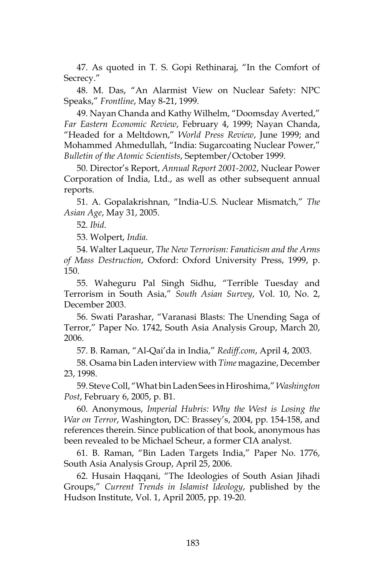47. As quoted in T. S. Gopi Rethinaraj, "In the Comfort of Secrecy."

48. M. Das, "An Alarmist View on Nuclear Safety: NPC Speaks," *Frontline*, May 8-21, 1999.

49. Nayan Chanda and Kathy Wilhelm, "Doomsday Averted," *Far Eastern Economic Review*, February 4, 1999; Nayan Chanda, "Headed for a Meltdown," *World Press Review*, June 1999; and Mohammed Ahmedullah, "India: Sugarcoating Nuclear Power," *Bulletin of the Atomic Scientists*, September/October 1999.

50. Director's Report, *Annual Report 2001-2002*, Nuclear Power Corporation of India, Ltd., as well as other subsequent annual reports.

51. A. Gopalakrishnan, "India-U.S. Nuclear Mismatch," *The Asian Age*, May 31, 2005.

52. *Ibid*.

53. Wolpert, *India*.

54. Walter Laqueur, *The New Terrorism: Fanaticism and the Arms of Mass Destruction*, Oxford: Oxford University Press, 1999, p. 150.

55. Waheguru Pal Singh Sidhu, "Terrible Tuesday and Terrorism in South Asia," *South Asian Survey*, Vol. 10, No. 2, December 2003.

56. Swati Parashar, "Varanasi Blasts: The Unending Saga of Terror," Paper No. 1742, South Asia Analysis Group, March 20, 2006.

57. B. Raman, "Al-Qai'da in India," *Rediff.com*, April 4, 2003.

58. Osama bin Laden interview with *Time* magazine, December 23, 1998.

59. Steve Coll, "What bin Laden Sees in Hiroshima," *Washington Post*, February 6, 2005, p. B1.

60. Anonymous, *Imperial Hubris: Why the West is Losing the War on Terror*, Washington, DC: Brassey's, 2004, pp. 154-158, and references therein. Since publication of that book, anonymous has been revealed to be Michael Scheur, a former CIA analyst.

61. B. Raman, "Bin Laden Targets India," Paper No. 1776, South Asia Analysis Group, April 25, 2006.

62. Husain Haqqani, "The Ideologies of South Asian Jihadi Groups," *Current Trends in Islamist Ideology*, published by the Hudson Institute, Vol. 1, April 2005, pp. 19-20.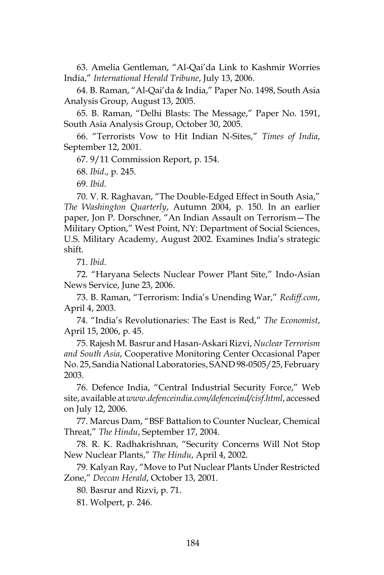63. Amelia Gentleman, "Al-Qai'da Link to Kashmir Worries India," *International Herald Tribune*, July 13, 2006.

64. B. Raman, "Al-Qai'da & India," Paper No. 1498, South Asia Analysis Group, August 13, 2005.

65. B. Raman, "Delhi Blasts: The Message," Paper No. 1591, South Asia Analysis Group, October 30, 2005.

66. "Terrorists Vow to Hit Indian N-Sites," *Times of India*, September 12, 2001.

67. 9/11 Commission Report, p. 154.

68. *Ibid*., p. 245.

69. *Ibid*.

70. V. R. Raghavan, "The Double-Edged Effect in South Asia," *The Washington Quarterly*, Autumn 2004, p. 150. In an earlier paper, Jon P. Dorschner, "An Indian Assault on Terrorism—The Military Option," West Point, NY: Department of Social Sciences, U.S. Military Academy, August 2002. Examines India's strategic shift.

71. *Ibid*.

72. "Haryana Selects Nuclear Power Plant Site," Indo-Asian News Service, June 23, 2006.

73. B. Raman, "Terrorism: India's Unending War," *Rediff.com*, April 4, 2003.

74. "India's Revolutionaries: The East is Red," *The Economist*, April 15, 2006, p. 45.

75. Rajesh M. Basrur and Hasan-Askari Rizvi, *Nuclear Terrorism and South Asia*, Cooperative Monitoring Center Occasional Paper No. 25, Sandia National Laboratories, SAND 98-0505/25, February 2003.

76. Defence India, "Central Industrial Security Force," Web site, available at *www.defenceindia.com/defenceind/cisf.html*, accessed on July 12, 2006.

77. Marcus Dam, "BSF Battalion to Counter Nuclear, Chemical Threat," *The Hindu*, September 17, 2004.

78. R. K. Radhakrishnan, "Security Concerns Will Not Stop New Nuclear Plants," *The Hindu*, April 4, 2002.

79. Kalyan Ray, "Move to Put Nuclear Plants Under Restricted Zone," *Deccan Herald*, October 13, 2001.

80. Basrur and Rizvi, p. 71.

81. Wolpert, p. 246.